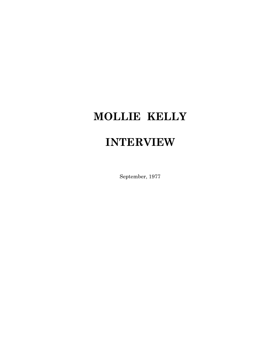## **MOLLIE KELLY**

## **INTERVIEW**

September, 1977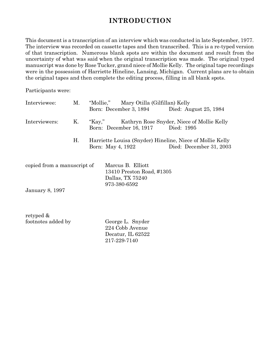## **INTRODUCTION**

This document is a transcription of an interview which was conducted in late September, 1977. The interview was recorded on cassette tapes and then transcribed. This is a re-typed version of that transcription. Numerous blank spots are within the document and result from the uncertainty of what was said when the original transcription was made. The original typed manuscript was done by Rose Tucker, grand niece of Mollie Kelly. The original tape recordings were in the possession of Harriette Hineline, Lansing, Michigan. Current plans are to obtain the original tapes and then complete the editing process, filling in all blank spots.

Participants were:

| Interviewee:                | Μ. | "Mollie," Mary Otilla (Gilfillan) Kelly |                                                                                    |                   |  |                                                                                         |
|-----------------------------|----|-----------------------------------------|------------------------------------------------------------------------------------|-------------------|--|-----------------------------------------------------------------------------------------|
|                             |    |                                         |                                                                                    |                   |  | Born: December 3, 1894 Died: August 25, 1984                                            |
| Interviewers:               | Κ. |                                         |                                                                                    |                   |  | "Kay," Kathryn Rose Snyder, Niece of Mollie Kelly<br>Born: December 16, 1917 Died: 1995 |
|                             | Η. |                                         |                                                                                    | Born: May 4, 1922 |  | Harriette Louisa (Snyder) Hineline, Niece of Mollie Kelly<br>Died: December 31, 2003    |
| copied from a manuscript of |    |                                         | Marcus B. Elliott<br>13410 Preston Road, #1305<br>Dallas, TX 75240<br>973-380-6592 |                   |  |                                                                                         |
| <b>January 8, 1997</b>      |    |                                         |                                                                                    |                   |  |                                                                                         |

retyped & footnotes added by George L. Snyder

224 Cobb Avenue Decatur, IL 62522 217-229-7140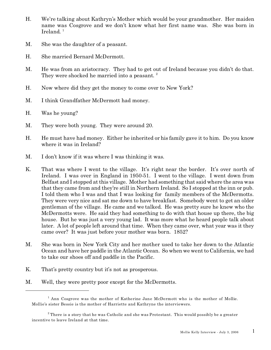- H. We're talking about Kathryn's Mother which would be your grandmother. Her maiden name was Cosgrove and we don't know what her first name was. She was born in Ireland. 1
- M. She was the daughter of a peasant.
- H. She married Bernard McDermott.
- M. He was from an aristocracy. They had to get out of Ireland because you didn't do that. They were shocked he married into a peasant.  $^{2}$
- H. Now where did they get the money to come over to New York?
- M. I think Grandfather McDermott had money.
- H. Was he young?
- M. They were both young. They were around 20.
- H. He must have had money. Either he inherited or his family gave it to him. Do you know where it was in Ireland?
- M. I don't know if it was where I was thinking it was.
- K. That was where I went to the village. It's right near the border. It's over north of Ireland. I was over in England in 1950-51. I went to the village. I went down from Belfast and I stopped at this village. Mother had something that said where the area was that they came from and they're still in Northern Ireland. So I stopped at the inn or pub. I told them who I was and that I was looking for family members of the McDermotts. They were very nice and sat me down to have breakfast. Somebody went to get an older gentleman of the village. He came and we talked. He was pretty sure he knew who the McDermotts were. He said they had something to do with that house up there, the big house. But he was just a very young lad. It was more what he heard people talk about later. A lot of people left around that time. When they came over, what year was it they came over? It was just before your mother was born. 1852?
- M. She was born in New York City and her mother used to take her down to the Atlantic Ocean and have her paddle in the Atlantic Ocean. So when we went to California, we had to take our shoes off and paddle in the Pacific.
- K. That's pretty country but it's not as prosperous.
- M. Well, they were pretty poor except for the McDermotts.

<sup>&</sup>lt;sup>1</sup> Ann Cosgrove was the mother of Katherine Jane McDermott who is the mother of Mollie. Mollie's sister Bessie is the mother of Harriette and Kathryne the interviewers.

 $^{\rm 2}$  There is a story that he was Catholic and she was Protestant. This would possibly be a greater incentive to leave Ireland at that time.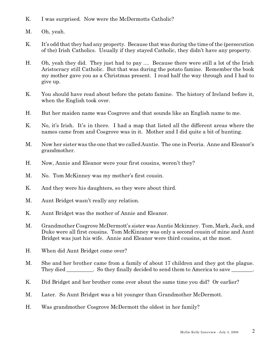- K. I was surprised. Now were the McDermotts Catholic?
- M. Oh, yeah.
- K. It's odd that they had any property. Because that was during the time of the (persecution of the) Irish Catholics. Usually if they stayed Catholic, they didn't have any property.
- H. Oh, yeah they did. They just had to pay .... Because there were still a lot of the Irish Aristocracy still Catholic. But that was during the potato famine. Remember the book my mother gave you as a Christmas present. I read half the way through and I had to give up.
- K. You should have read about before the potato famine. The history of Ireland before it, when the English took over.
- H. But her maiden name was Cosgrove and that sounds like an English name to me.
- K. No, it's Irish. It's in there. I had a map that listed all the different areas where the names came from and Cosgrove was in it. Mother and I did quite a bit of hunting.
- M. Now her sister was the one that we called Auntie. The one in Peoria. Anne and Eleanor's grandmother.
- H. Now, Annie and Eleanor were your first cousins, weren't they?
- M. No. Tom McKinney was my mother's first cousin.
- K. And they were his daughters, so they were about third.
- M. Aunt Bridget wasn't really any relation.
- K. Aunt Bridget was the mother of Annie and Eleanor.
- M. Grandmother Cosgrove McDermott's sister was Auntie Mckinney. Tom, Mark, Jack, and Duke were all first cousins. Tom McKinney was only a second cousin of mine and Aunt Bridget was just his wife. Annie and Eleanor were third cousins, at the most.
- H. When did Aunt Bridget come over?
- M. She and her brother came from a family of about 17 children and they got the plague. They died So they finally decided to send them to America to save \_\_\_\_\_\_\_.
- K. Did Bridget and her brother come over about the same time you did? Or earlier?
- M. Later. So Aunt Bridget was a bit younger than Grandmother McDermott.
- H. Was grandmother Cosgrove McDermott the oldest in her family?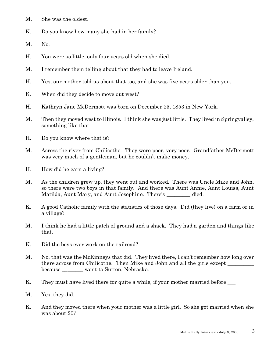- M. She was the oldest.
- K. Do you know how many she had in her family?
- M. No.
- H. You were so little, only four years old when she died.
- M. I remember them telling about that they had to leave Ireland.
- H. Yes, our mother told us about that too, and she was five years older than you.
- K. When did they decide to move out west?
- H. Kathryn Jane McDermott was born on December 25, 1853 in New York.
- M. Then they moved west to Illinois. I think she was just little. They lived in Springvalley, something like that.
- H. Do you know where that is?
- M. Across the river from Chilicothe. They were poor, very poor. Grandfather McDermott was very much of a gentleman, but he couldn't make money.
- H. How did he earn a living?
- M. As the children grew up, they went out and worked. There was Uncle Mike and John, so there were two boys in that family. And there was Aunt Annie, Aunt Louisa, Aunt Matilda, Aunt Mary, and Aunt Josephine. There's died.
- K. A good Catholic family with the statistics of those days. Did (they live) on a farm or in a village?
- M. I think he had a little patch of ground and a shack. They had a garden and things like that.
- K. Did the boys ever work on the railroad?
- M. No, that was the McKinneys that did. They lived there, I can't remember how long over there across from Chilicothe. Then Mike and John and all the girls except because \_\_\_\_\_\_\_\_ went to Sutton, Nebraska.
- K. They must have lived there for quite a while, if your mother married before  $\_\_$
- M. Yes, they did.
- K. And they moved there when your mother was a little girl. So she got married when she was about 20?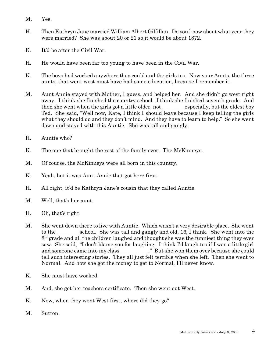- M. Yes.
- H. Then Kathryn Jane married William Albert Gilfillan. Do you know about what year they were married? She was about 20 or 21 so it would be about 1872.
- K. It'd be after the Civil War.
- H. He would have been far too young to have been in the Civil War.
- K. The boys had worked anywhere they could and the girls too. Now your Aunts, the three aunts, that went west must have had some education, because I remember it.
- M. Aunt Annie stayed with Mother, I guess, and helped her. And she didn't go west right away. I think she finished the country school. I think she finished seventh grade. And then she went when the girls got a little older, not \_\_\_\_\_\_\_\_ especially, but the oldest boy Ted. She said, "Well now, Kate, I think I should leave because I keep telling the girls what they should do and they don't mind. And they have to learn to help." So she went down and stayed with this Auntie. She was tall and gangly.
- H. Auntie who?
- K. The one that brought the rest of the family over. The McKinneys.
- M. Of course, the McKinneys were all born in this country.
- K. Yeah, but it was Aunt Annie that got here first.
- H. All right, it'd be Kathryn Jane's cousin that they called Auntie.
- M. Well, that's her aunt.
- H. Oh, that's right.
- M. She went down there to live with Auntie. Which wasn't a very desirable place. She went to the school. She was tall and gangly and old, 16, I think. She went into the 8<sup>th</sup> grade and all the children laughed and thought she was the funniest thing they ever saw. She said, "I don't blame you for laughing. I think I'd laugh too if I was a little girl and someone came into my class \_\_\_\_\_\_\_\_\_\_." But she won them over because she could tell such interesting stories. They all just felt terrible when she left. Then she went to Normal. And how she got the money to get to Normal, I'll never know.
- K. She must have worked.
- M. And, she got her teachers certificate. Then she went out West.
- K. Now, when they went West first, where did they go?
- M. Sutton.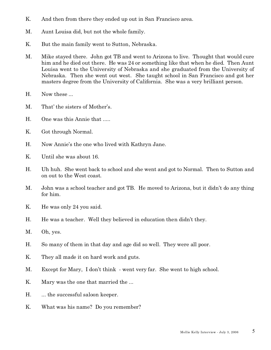- K. And then from there they ended up out in San Francisco area.
- M. Aunt Louisa did, but not the whole family.
- K. But the main family went to Sutton, Nebraska.
- M. Mike stayed there. John got TB and went to Arizona to live. Thought that would cure him and he died out there. He was 24 or something like that when he died. Then Aunt Louisa went to the University of Nebraska and she graduated from the University of Nebraska. Then she went out west. She taught school in San Francisco and got her masters degree from the University of California. She was a very brilliant person.
- H. Now these ...
- M. That' the sisters of Mother's.
- H. One was this Annie that .....
- K. Got through Normal.
- H. Now Annie's the one who lived with Kathryn Jane.
- K. Until she was about 16.
- H. Uh huh. She went back to school and she went and got to Normal. Then to Sutton and on out to the West coast.
- M. John was a school teacher and got TB. He moved to Arizona, but it didn't do any thing for him.
- K. He was only 24 you said.
- H. He was a teacher. Well they believed in education then didn't they.
- M. Oh, yes.
- H. So many of them in that day and age did so well. They were all poor.
- K. They all made it on hard work and guts.
- M. Except for Mary, I don't think went very far. She went to high school.
- K. Mary was the one that married the ...
- H.  $\ldots$  the successful saloon keeper.
- K. What was his name? Do you remember?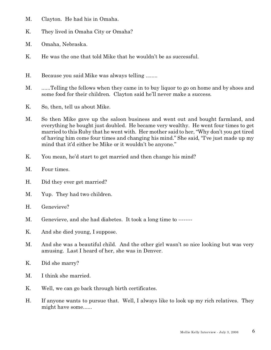- M. Clayton. He had his in Omaha.
- K. They lived in Omaha City or Omaha?
- M. Omaha, Nebraska.
- K. He was the one that told Mike that he wouldn't be as successful.
- H. Because you said Mike was always telling ........
- M. ......Telling the fellows when they came in to buy liquor to go on home and by shoes and some food for their children. Clayton said he'll never make a success.
- K. So, then, tell us about Mike.
- M. So then Mike gave up the saloon business and went out and bought farmland, and everything he bought just doubled. He became very wealthy. He went four times to get married to this Ruby that he went with. Her mother said to her, "Why don't you get tired of having him come four times and changing his mind." She said, "I've just made up my mind that it'd either be Mike or it wouldn't be anyone."
- K. You mean, he'd start to get married and then change his mind?
- M. Four times.
- H. Did they ever get married?
- M. Yup. They had two children.
- H. Genevieve?
- M. Genevieve, and she had diabetes. It took a long time to --------
- K. And she died young, I suppose.
- M. And she was a beautiful child. And the other girl wasn't so nice looking but was very amusing. Last I heard of her, she was in Denver.
- K. Did she marry?
- M. I think she married.
- K. Well, we can go back through birth certificates.
- H. If anyone wants to pursue that. Well, I always like to look up my rich relatives. They might have some......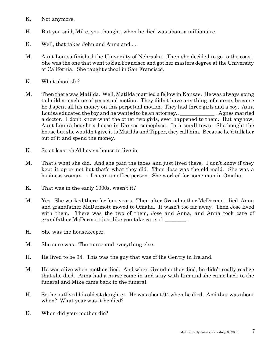- K. Not anymore.
- H. But you said, Mike, you thought, when he died was about a millionaire.
- K. Well, that takes John and Anna and.....
- M. Aunt Louisa finished the University of Nebraska. Then she decided to go to the coast. She was the one that went to San Francisco and got her masters degree at the University of California. She taught school in San Francisco.
- K. What about Jo?
- M. Then there was Matilda. Well, Matilda married a fellow in Kansas. He was always going to build a machine of perpetual motion. They didn't have any thing, of course, because he'd spent all his money on this perpetual motion. They had three girls and a boy. Aunt Louisa educated the boy and he wanted to be an attorney.. \_\_\_\_\_\_\_\_\_\_\_\_\_\_\_. Agnes married a doctor. I don't know what the other two girls, ever happened to them. But anyhow, Aunt Louisa bought a house in Kansas someplace. In a small town. She bought the house but she wouldn't give it to Matilda and Tipper, they call him. Because he'd talk her out of it and spend the money.
- K. So at least she'd have a house to live in.
- M. That's what she did. And she paid the taxes and just lived there. I don't know if they kept it up or not but that's what they did. Then Jose was the old maid. She was a business woman – I mean an office person. She worked for some man in Omaha.
- K. That was in the early 1900s, wasn't it?
- M. Yes. She worked there for four years. Then after Grandmother McDermott died, Anna and grandfather McDermott moved to Omaha. It wasn't too far away. Then Jose lived with them. There was the two of them, Jose and Anna, and Anna took care of grandfather McDermott just like you take care of  $\blacksquare$ .
- H. She was the housekeeper.
- M. She sure was. The nurse and everything else.
- H. He lived to be 94. This was the guy that was of the Gentry in Ireland.
- M. He was alive when mother died. And when Grandmother died, he didn't really realize that she died. Anna had a nurse come in and stay with him and she came back to the funeral and Mike came back to the funeral.
- H. So, he outlived his oldest daughter. He was about 94 when he died. And that was about when? What year was it he died?
- K. When did your mother die?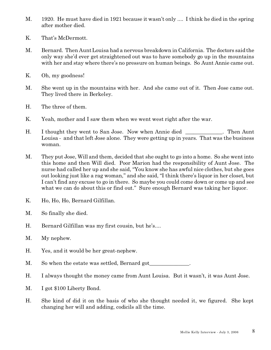- M. 1920. He must have died in 1921 because it wasn't only .... I think he died in the spring after mother died.
- K. That's McDermott.
- M. Bernard. Then Aunt Louisa had a nervous breakdown in California. The doctors said the only way she'd ever get straightened out was to have somebody go up in the mountains with her and stay where there's no pressure on human beings. So Aunt Annie came out.
- K. Oh, my goodness!
- M. She went up in the mountains with her. And she came out of it. Then Jose came out. They lived there in Berkeley.
- H. The three of them.
- K. Yeah, mother and I saw them when we went west right after the war.
- H. I thought they went to San Jose. Now when Annie died . Then Aunt Louisa - and that left Jose alone. They were getting up in years. That was the business woman.
- M. They put Jose, Will and them, decided that she ought to go into a home. So she went into this home and then Will died. Poor Marion had the responsibility of Aunt Jose. The nurse had called her up and she said, "You know she has awful nice clothes, but she goes out looking just like a rag woman," and she said, "I think there's liquor in her closet, but I can't find any excuse to go in there. So maybe you could come down or come up and see what we can do about this or find out." Sure enough Bernard was taking her liquor.
- K. Ho, Ho, Ho, Bernard Gilfillan.
- M. So finally she died.
- H. Bernard Gilfillan was my first cousin, but he's....
- M. My nephew.
- H. Yes, and it would be her great-nephew.

M. So when the estate was settled, Bernard got

- H. I always thought the money came from Aunt Louisa. But it wasn't, it was Aunt Jose.
- M. I got \$100 Liberty Bond.
- H. She kind of did it on the basis of who she thought needed it, we figured. She kept changing her will and adding, codicils all the time.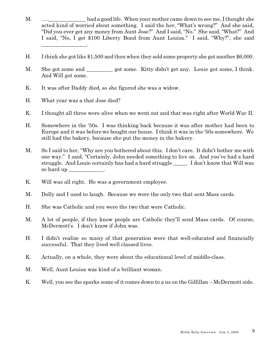- M.  $\dots$  had a good life. When your mother came down to see me, I thought she acted kind of worried about something. I said the her, "What's wrong?" And she said, "Did you ever get any money from Aunt Jose?" And I said, "No." She said, "What?" And I said, "No, I got \$100 Liberty Bond from Aunt Louisa." I said, "Why?", she said \_\_\_\_\_\_\_\_\_\_\_\_\_\_\_\_\_.
- H. I think she got like \$1,500 and then when they sold some property she got another \$6,000.
- M. She got some and got some. Kitty didn't get any. Louie got some, I think. And Will got some.
- K. It was after Daddy died, so she figured she was a widow.
- H. What year was a that Jose died?
- K. I thought all three were alive when we went out and that was right after World War II.
- H. Somewhere in the '50s. I was thinking back because it was after mother had been to Europe and it was before we bought our house. I think it was in the '50s somewhere. We still had the bakery, because she put the money in the bakery.
- M. So I said to her, "Why are you bothered about this. I don't care. It didn't bother me with one way." I said, "Certainly, John needed something to live on. And you've had a hard struggle. And Louie certainly has had a hard struggle \_\_\_\_\_. I don't know that Will was so hard up \_\_\_\_\_\_\_\_\_\_\_\_.
- K. Will was all right. He was a government employee.
- M. Dolly and I used to laugh. Because we were the only two that sent Mass cards.
- H. She was Catholic and you were the two that were Catholic.
- M. A lot of people, if they know people are Catholic they'll send Mass cards. Of course, McDermott's. I don't know if John was.
- H. I didn't realize so many of that generation were that well-educated and financially successful. That they lived well classed lives.
- K. Actually, on a whole, they were about the educational level of middle-class.
- M. Well, Aunt Louisa was kind of a brilliant woman.
- K. Well, you see the sparks some of it comes down to a us on the Gilfillan McDermott side.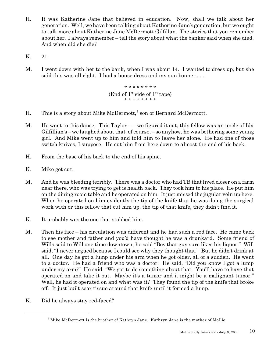- H. It was Katherine Jane that believed in education. Now, shall we talk about her generation. Well, we have been talking about Katherine Jane's generation, but we ought to talk more about Katherine Jane McDermott Gilfillan. The stories that you remember about her. I always remember – tell the story about what the banker said when she died. And when did she die?
- K. 21.
- M. I went down with her to the bank, when I was about 14. I wanted to dress up, but she said this was all right. I had a house dress and my sun bonnet ......

\* \* \* \* \* \* \* \* (End of  $1^{st}$  side of  $1^{st}$  tape) \* \* \* \* \* \* \* \*

- H. This is a story about Mike McDermott,<sup>3</sup> son of Bernard McDermott.
- M. He went to this dance. This Taylor – we figured it out, this fellow was an uncle of Ida Gilfillian's – we laughed about that, of course, – so anyhow, he was bothering some young girl. And Mike went up to him and told him to leave her alone. He had one of those switch knives, I suppose. He cut him from here down to almost the end of his back.
- H. From the base of his back to the end of his spine.
- K. Mike got cut.
- M. And he was bleeding terribly. There was a doctor who had TB that lived closer on a farm near there, who was trying to get is health back. They took him to his place. He put him on the dining room table and he operated on him. It just missed the jugular vein up here. When he operated on him evidently the tip of the knife that he was doing the surgical work with or this fellow that cut him up, the tip of that knife, they didn't find it.
- K. It probably was the one that stabbed him.
- M. Then his face his circulation was different and he had such a red face. He came back to see mother and father and you'd have thought he was a drunkard. Some friend of Wills said to Will one time downtown, he said "Boy that guy sure likes his liquor." Will said, "I never argued because I could see why they thought that." But he didn't drink at all. One day he got a lump under his arm when he got older, all of a sudden. He went to a doctor. He had a friend who was a doctor. He said, "Did you know I got a lump under my arm?" He said, "We got to do something about that. You'll have to have that operated on and take it out. Maybe it's a tumor and it might be a malignant tumor." Well, he had it operated on and what was it? They found the tip of the knife that broke off. It just built scar tissue around that knife until it formed a lump.
- K. Did he always stay red-faced?

 $^3$  Mike McDermott is the brother of Kathryn Jane. Kathryn Jane is the mother of Mollie.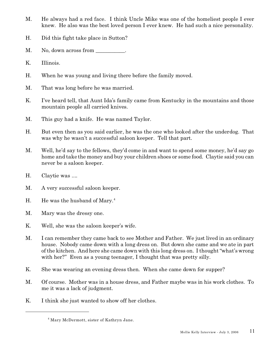- M. He always had a red face. I think Uncle Mike was one of the homeliest people I ever knew. He also was the best loved person I ever knew. He had such a nice personality.
- H. Did this fight take place in Sutton?
- M. No, down across from \_\_\_\_\_\_\_\_\_\_.
- K. Illinois.
- H. When he was young and living there before the family moved.
- M. That was long before he was married.
- K. I've heard tell, that Aunt Ida's family came from Kentucky in the mountains and those mountain people all carried knives.
- M. This guy had a knife. He was named Taylor.
- H. But even then as you said earlier, he was the one who looked after the underdog. That was why he wasn't a successful saloon keeper. Tell that part.
- M. Well, he'd say to the fellows, they'd come in and want to spend some money, he'd say go home and take the money and buy your children shoes or some food. Claytie said you can never be a saloon keeper.
- H. Claytie was ....
- M. A very successful saloon keeper.
- H. He was the husband of Mary. $4$
- M. Mary was the dressy one.
- K. Well, she was the saloon keeper's wife.
- M. I can remember they came back to see Mother and Father. We just lived in an ordinary house. Nobody came down with a long dress on. But down she came and we ate in part of the kitchen. And here she came down with this long dress on. I thought "what's wrong with her?" Even as a young teenager, I thought that was pretty silly.
- K. She was wearing an evening dress then. When she came down for supper?
- M. Of course. Mother was in a house dress, and Father maybe was in his work clothes. To me it was a lack of judgment.
- K. I think she just wanted to show off her clothes.

<sup>4</sup> Mary McDermott, sister of Kathryn Jane.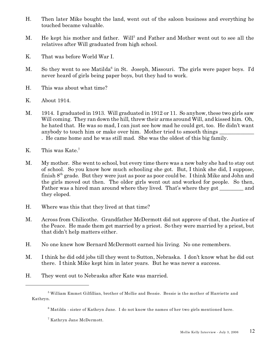- H. Then later Mike bought the land, went out of the saloon business and everything he touched became valuable.
- M. He kept his mother and father. Will<sup>5</sup> and Father and Mother went out to see all the relatives after Will graduated from high school.
- K. That was before World War I.
- M. So they went to see Matilda<sup>6</sup> in St. Joseph, Missouri. The girls were paper boys. I'd never heard of girls being paper boys, but they had to work.
- H. This was about what time?
- K. About 1914.
- M. 1914. I graduated in 1913. Will graduated in 1912 or 11. So anyhow, these two girls saw Will coming. They ran down the hill, threw their arms around Will, and kissed him. Oh, he hated that. He was so mad, I can just see how mad he could get, too. He didn't want anybody to touch him or make over him. Mother tried to smooth things . He came home and he was still mad. She was the oldest of this big family.
- K. This was Kate.<sup>7</sup>
- M. My mother. She went to school, but every time there was a new baby she had to stay out of school. So you know how much schooling she got. But, I think she did, I suppose, finish  $8<sup>th</sup>$  grade. But they were just as poor as poor could be. I think Mike and John and the girls moved out then. The older girls went out and worked for people. So then, Father was a hired man around where they lived. That's where they got and they eloped.
- H. Where was this that they lived at that time?
- M. Across from Chilicothe. Grandfather McDermott did not approve of that, the Justice of the Peace. He made them get married by a priest. So they were married by a priest, but that didn't help matters either.
- H. No one knew how Bernard McDermott earned his living. No one remembers.
- M. I think he did odd jobs till they went to Sutton, Nebraska. I don't know what he did out there. I think Mike kept him in later years. But he was never a success.
- H. They went out to Nebraska after Kate was married.

 $^5$  William Emmet Gilfillian, brother of Mollie and Bessie. Bessie is the mother of Harriette and Kathryn.

 $^6$  Matilda - sister of Kathryn Jane. I do not know the names of her two girls mentioned here.

<sup>7</sup> Kathryn Jane McDermott.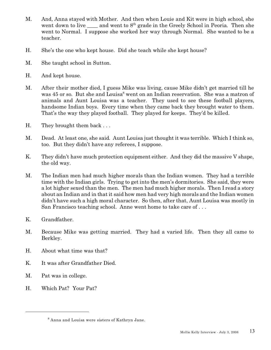- M. And, Anna stayed with Mother. And then when Louie and Kit were in high school, she went down to live  $\_\_\_\$ and went to  $8<sup>th</sup>$  grade in the Greely School in Peoria. Then she went to Normal. I suppose she worked her way through Normal. She wanted to be a teacher.
- H. She's the one who kept house. Did she teach while she kept house?
- M. She taught school in Sutton.
- H. And kept house.
- M. After their mother died, I guess Mike was living, cause Mike didn't get married till he was 45 or so. But she and Louisa<sup>8</sup> went on an Indian reservation. She was a matron of animals and Aunt Louisa was a teacher. They used to see these football players, handsome Indian boys. Every time when they came back they brought water to them. That's the way they played football. They played for keeps. They'd be killed.
- H. They brought them back . . .
- M. Dead. At least one, she said. Aunt Louisa just thought it was terrible. Which I think so, too. But they didn't have any referees, I suppose.
- K. They didn't have much protection equipment either. And they did the massive V shape, the old way.
- M. The Indian men had much higher morals than the Indian women. They had a terrible time with the Indian girls. Trying to get into the men's dormitories. She said, they were a lot higher sexed than the men. The men had much higher morals. Then I read a story about an Indian and in that it said how men had very high morals and the Indian women didn't have such a high moral character. So then, after that, Aunt Louisa was mostly in San Francisco teaching school. Anne went home to take care of . . .
- K. Grandfather.
- M. Because Mike was getting married. They had a varied life. Then they all came to Berkley.
- H. About what time was that?
- K. It was after Grandfather Died.
- M. Pat was in college.
- H. Which Pat? Your Pat?

 $^8$  Anna and Louisa were sisters of Kathryn Jane.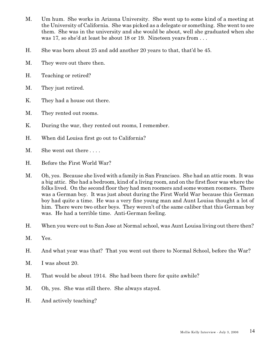- M. Um hum. She works in Arizona University. She went up to some kind of a meeting at the University of California. She was picked as a delegate or something. She went to see them. She was in the university and she would be about, well she graduated when she was 17, so she'd at least be about 18 or 19. Nineteen years from . . .
- H. She was born about 25 and add another 20 years to that, that'd be 45.
- M. They were out there then.
- H. Teaching or retired?
- M. They just retired.
- K. They had a house out there.
- M. They rented out rooms.
- K. During the war, they rented out rooms, I remember.
- H. When did Louisa first go out to California?
- M. She went out there . . . .
- H. Before the First World War?
- M. Oh, yes. Because she lived with a family in San Francisco. She had an attic room. It was a big attic. She had a bedroom, kind of a living room, and on the first floor was where the folks lived. On the second floor they had men roomers and some women roomers. There was a German boy. It was just about during the First World War because this German boy had quite a time. He was a very fine young man and Aunt Louisa thought a lot of him. There were two other boys. They weren't of the same caliber that this German boy was. He had a terrible time. Anti-German feeling.
- H. When you were out to San Jose at Normal school, was Aunt Louisa living out there then?
- M. Yes.
- H. And what year was that? That you went out there to Normal School, before the War?
- M. I was about 20.
- H. That would be about 1914. She had been there for quite awhile?
- M. Oh, yes. She was still there. She always stayed.
- H. And actively teaching?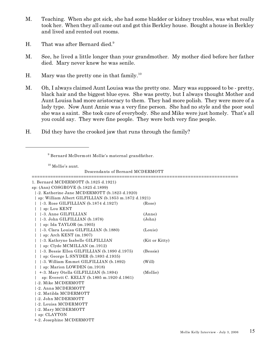- M. Teaching. When she got sick, she had some bladder or kidney troubles, was what really took her. When they all came out and got this Berkley house. Bought a house in Berkley and lived and rented out rooms.
- H. That was after Bernard died.<sup>9</sup>
- M. See, he lived a little longer than your grandmother. My mother died before her father died. Mary never knew he was senile.
- H. Mary was the pretty one in that family.<sup>10</sup>
- M. Oh, I always claimed Aunt Louisa was the pretty one. Mary was supposed to be pretty, black hair and the biggest blue eyes. She was pretty, but I always thought Mother and Aunt Louisa had more aristocracy to them. They had more polish. They were more of a lady type. Now Aunt Annie was a very fine person. She had no style and the poor soul she was a saint. She took care of everybody. She and Mike were just homely. That's all you could say. They were fine people. They were both very fine people.
- H. Did they have the crooked jaw that runs through the family?

9 Bernard McDermott Mollie's maternal grandfather.

<sup>10</sup> Mollie's aunt.

Descendants of Bernard MCDERMOTT

| 1. Bernard MCDERMOTT (b.1825 d.1921)                      |                |  |  |  |  |  |
|-----------------------------------------------------------|----------------|--|--|--|--|--|
| sp: (Ann) COSGROVE (b.1825 d.1899)                        |                |  |  |  |  |  |
| -2. Katherine Jane MCDERMOTT (b.1823 d.1920)              |                |  |  |  |  |  |
| sp: William Albert GILFILLIAN (b.1853 m.1872 d.1921)      |                |  |  |  |  |  |
| $\left  \cdot 3. \right.$ Rose GILFILLIAN (b.1874 d.1927) | (Rose)         |  |  |  |  |  |
| sp: Lou KENT                                              |                |  |  |  |  |  |
| 1-3. Anne GILFILLIAN                                      | (Anne)         |  |  |  |  |  |
| -3. John GILFILLIAN (b.1878)                              | (John)         |  |  |  |  |  |
| sp: Ida TAYLOR (m.1905)                                   |                |  |  |  |  |  |
| [-3. Clara Louisa GILFILLIAN (b.1880)                     | (Louie)        |  |  |  |  |  |
| sp: Arch KENT $(m.1907)$                                  |                |  |  |  |  |  |
| -3. Kathryne Isabelle GILFILLIAN                          | (Kit or Kitty) |  |  |  |  |  |
| sp: Clyde MCMILLAN (m.1912)                               |                |  |  |  |  |  |
| -3. Bessie Ellen GILFILLIAN (b.1890 d.1975)               | (Bessie)       |  |  |  |  |  |
| sp: George L SNYDER $(b.1893 d.1935)$                     |                |  |  |  |  |  |
| [-3. William Emmet GILFILLIAN (b.1892)                    | (Will)         |  |  |  |  |  |
| sp: Marion LOWDEN (m.1918)                                |                |  |  |  |  |  |
| +-3. Mary Otella GILFILLIAN (b.1894)                      | (Mollie)       |  |  |  |  |  |
| sp: Everett C. KELLY (b.1895 m.1920 d.1961)               |                |  |  |  |  |  |
| -2. Mike MCDERMOTT                                        |                |  |  |  |  |  |
| -2. Anna MCDERMOTT                                        |                |  |  |  |  |  |
| 1-2. Matilda MCDERMOTT                                    |                |  |  |  |  |  |
| 1-2. John MCDERMOTT                                       |                |  |  |  |  |  |
| 1-2. Louisa MCDERMOTT                                     |                |  |  |  |  |  |
| 1-2. Mary MCDERMOTT                                       |                |  |  |  |  |  |
| $ $ sp: CLAYTON                                           |                |  |  |  |  |  |
| +-2. Josephine MCDERMOTT                                  |                |  |  |  |  |  |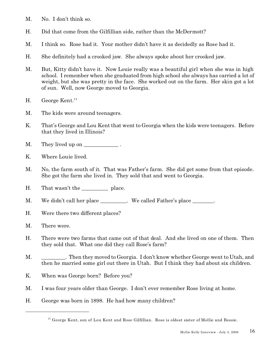- M. No. I don't think so.
- H. Did that come from the Gilfillian side, rather than the McDermott?
- M. I think so. Rose had it. Your mother didn't have it as decidedly as Rose had it.
- H. She definitely had a crooked jaw. She always spoke about her crooked jaw.
- M. But, Kitty didn't have it. Now Louie really was a beautiful girl when she was in high school. I remember when she graduated from high school she always has carried a lot of weight, but she was pretty in the face. She worked out on the farm. Her skin got a lot of sun. Well, now George moved to Georgia.
- H. George Kent.<sup>11</sup>
- M. The kids were around teenagers.
- K. That's George and Lou Kent that went to Georgia when the kids were teenagers. Before that they lived in Illinois?
- M. They lived up on \_\_\_\_\_\_\_\_\_\_\_\_\_\_.
- K. Where Louie lived.
- M. No, the farm south of it. That was Father's farm. She did get some from that episode. She got the farm she lived in. They sold that and went to Georgia.
- H. That wasn't the \_\_\_\_\_\_\_\_\_\_\_\_\_ place.
- M. We didn't call her place \_\_\_\_\_\_\_\_\_. We called Father's place \_\_\_\_\_\_\_.
- H. Were there two different places?
- M. There were.
- H. There were two farms that came out of that deal. And she lived on one of them. Then they sold that. What one did they call Rose's farm?
- M. Then they moved to Georgia. I don't know whether George went to Utah, and then he married some girl out there in Utah. But I think they had about six children.
- K. When was George born? Before you?
- M. I was four years older than George. I don't ever remember Rose living at home.
- H. George was born in 1898. He had how many children?

<sup>&</sup>lt;sup>11</sup> George Kent, son of Lou Kent and Rose Gilfillian. Rose is oldest sister of Mollie and Bessie.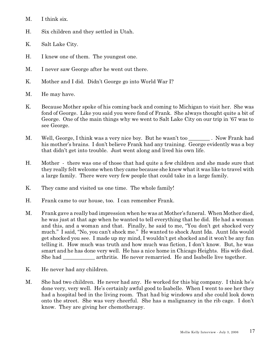- M. I think six.
- H. Six children and they settled in Utah.
- K. Salt Lake City.
- H. I knew one of them. The youngest one.
- M. I never saw George after he went out there.
- K. Mother and I did. Didn't George go into World War I?
- M. He may have.
- K. Because Mother spoke of his coming back and coming to Michigan to visit her. She was fond of George. Like you said you were fond of Frank. She always thought quite a bit of George. One of the main things why we went to Salt Lake City on our trip in '67 was to see George.
- M. Well, George, I think was a very nice boy. But he wasn't too . Now Frank had his mother's brains. I don't believe Frank had any training. George evidently was a boy that didn't get into trouble. Just went along and lived his own life.
- H. Mother there was one of those that had quite a few children and she made sure that they really felt welcome when they came because she knew what it was like to travel with a large family. There were very few people that could take in a large family.
- K. They came and visited us one time. The whole family!
- H. Frank came to our house, too. I can remember Frank.
- M. Frank gave a really bad impression when he was at Mother's funeral. When Mother died, he was just at that age when he wanted to tell everything that he did. He had a woman and this, and a woman and that. Finally, he said to me, "You don't get shocked very much." I said, "No, you can't shock me." He wanted to shock Aunt Ida. Aunt Ida would get shocked you see. I made up my mind, I wouldn't get shocked and it won't be any fun telling it. How much was truth and how much was fiction, I don't know. But, he was smart and he has done very well. He has a nice home in Chicago Heights. His wife died. She had \_\_\_\_\_\_\_\_\_\_\_\_ arthritis. He never remarried. He and Isabelle live together.
- K. He never had any children.
- M. She had two children. He never had any. He worked for this big company. I think he's done very, very well. He's certainly awful good to Isabelle. When I went to see her they had a hospital bed in the living room. That had big windows and she could look down onto the street. She was very cheerful. She has a malignancy in the rib cage. I don't know. They are giving her chemotherapy.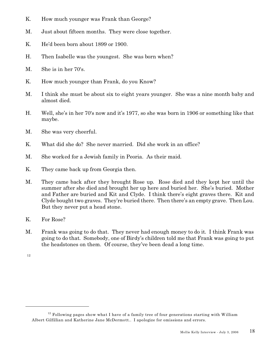- K. How much younger was Frank than George?
- M. Just about fifteen months. They were close together.
- K. He'd been born about 1899 or 1900.
- H. Then Isabelle was the youngest. She was born when?
- M. She is in her 70's.
- K. How much younger than Frank, do you Know?
- M. I think she must be about six to eight years younger. She was a nine month baby and almost died.
- H. Well, she's in her 70's now and it's 1977, so she was born in 1906 or something like that maybe.
- M. She was very cheerful.
- K. What did she do? She never married. Did she work in an office?
- M. She worked for a Jewish family in Peoria. As their maid.
- K. They came back up from Georgia then.
- M. They came back after they brought Rose up. Rose died and they kept her until the summer after she died and brought her up here and buried her. She's buried. Mother and Father are buried and Kit and Clyde. I think there's eight graves there. Kit and Clyde bought two graves. They're buried there. Then there's an empty grave. Then Lou. But they never put a head stone.
- K. For Rose?
- M. Frank was going to do that. They never had enough money to do it. I think Frank was going to do that. Somebody, one of Birdy's children told me that Frank was going to put the headstones on them. Of course, they've been dead a long time.

12

 $12$  Following pages show what I have of a family tree of four generations starting with William Albert Gilfillian and Katherine Jane McDermott.. I apologize for omissions and errors.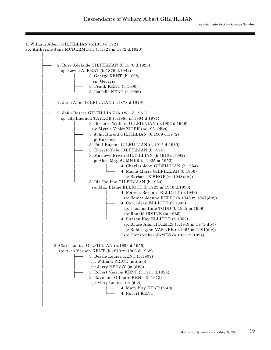| 1. William Albert GILFILLIAN (b.1853 d.1921)        |
|-----------------------------------------------------|
| sp: Katherine Jane MCDERMOTT (b.1823 m.1872 d.1920) |
|                                                     |
|                                                     |
| 2. Rose Adelaide GILFILLIAN (b.1876 d.1928)         |
| sp: Lewis A. KENT (b.1876 d.1942)                   |
| 3. George KENT (b.1898)                             |
| sp: Georgia                                         |
| 3. Frank KENT (b.1900)                              |
| 3. Isabelle KENT (b.1906)                           |
| 2. Jane Anne GILFILLIAN (b.1878 d.1879)             |
| 2. John Roscoe GILFILLIAN (b.1881 d.1951)           |
| sp: Ida Lucinda TAYLOR (b.1883 m.1904 d.1971)       |
| 3. Bernard William GILFILLIAN (b.1906 d.1969)       |
| sp: Myrtle Violet ZITEK (m.1931(div))               |
| 3. John Harold GILFILLIAN (b.1909 d.1972)           |
| sp: Harriette                                       |
| 3. Paul Eugene GILFILLIAN (b.1912 d.1980)           |
| 3. Everett Yale GILFILLIAN (b.1915)                 |
| 3. Marlowe Erwin GILFILLIAN (b.1916 d.1982)         |
| sp: Alice May SUMNER (b.1925 m.1953)                |
| 4. Charles John GILFILLIAN (b.1954)                 |
| 4. Marta Marie GILFILLIAN (b.1956)                  |
| sp: Barbara BISHOP (m.1948(div))                    |
| 3. Ida Pauline GILFILLIAN (b.1924)                  |
| sp: Max Blaine ELLIOTT (b.1923 m.1946 d.1995)       |
| 4. Marcus Bernard ELLIOTT (b.1946)                  |
| sp: Bonita Jeanne KERRI (b.1948 m.1967(div))        |
| 4. Carol Jean ELLIOTT (b.1949)                      |
| sp: Thomas Hale TODD (b.1945 m.1969)                |
| sp: Ronald IRVINE (m.1985)                          |
| 4. Sharon Kay ELLIOTT (b.1952)                      |
| sp: Bruce Alan HOLMES (b.1949 m.1971(div))          |
| sp: Robin Lynn VARNER (b.1955 m.1984(div))          |
| sp: Christopher JAMES (b.1951 m.1994)               |
|                                                     |
| 2. Clara Louisa GILFILLIAN (b.1883 d.1955)          |
| sp: Arch Vernon KENT (b.1879 m.1906 d.1962)         |
| 3. Bessie Louisa KENT (b.1909)                      |
| sp: William PRICE (m.(div))                         |
| sp: Jerry REILLY (m.(div))                          |
| 3. Robert Vernon KENT (b.1911 d.1924)               |
| 3. Raymond Gilmore KENT (b.1913)                    |
| sp: Mary Louise (m.(div))                           |
| 4. Mary Kay KENT (b.40)                             |
| 4. Robert KENT                                      |
|                                                     |
|                                                     |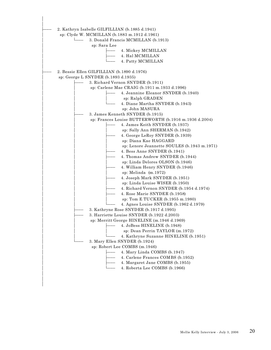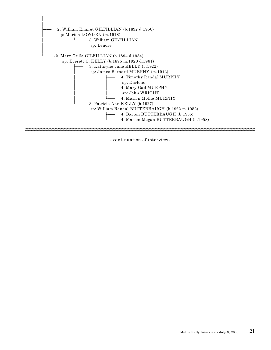

- continuation of interview-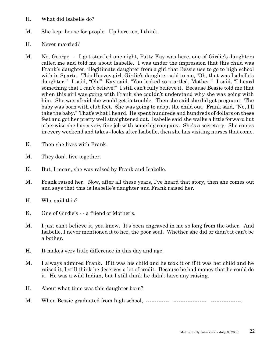- H. What did Isabelle do?
- M. She kept house for people. Up here too, I think.
- H. Never married?
- M. No, George I got startled one night, Patty Kay was here, one of Girdie's daughters called me and told me about Isabelle. I was under the impression that this child was Frank's daughter, illegitimate daughter from a girl that Bessie use to go to high school with in Sparta. This Harvey girl, Girdie's daughter said to me, "Oh, that was Isabelle's daughter." I said, "Oh!" Kay said, "You looked so startled, Mother." I said, "I heard something that I can't believe!" I still can't fully believe it. Because Bessie told me that when this girl was going with Frank she couldn't understand why she was going with him. She was afraid she would get in trouble. Then she said she did get pregnant. The baby was born with club feet. She was going to adopt the child out. Frank said, "No, I'll take the baby." That's what I heard. He spent hundreds and hundreds of dollars on these feet and got her pretty well straightened out. Isabelle said she walks a little forward but otherwise she has a very fine job with some big company. She's a secretary. She comes in every weekend and takes - looks after Isabelle, then she has visiting nurses that come.
- K. Then she lives with Frank.
- M. They don't live together.
- K. But, I mean, she was raised by Frank and Isabelle.
- M. Frank raised her. Now, after all these years, I've heard that story, then she comes out and says that this is Isabelle's daughter and Frank raised her.
- H. Who said this?
- K. One of Girdie's - a friend of Mother's.
- M. I just can't believe it, you know. It's been engraved in me so long from the other. And Isabelle, I never mentioned it to her, the poor soul. Whether she did or didn't it can't be a bother.
- H. It makes very little difference in this day and age.
- M. I always admired Frank. If it was his child and he took it or if it was her child and he raised it, I still think he deserves a lot of credit. Because he had money that he could do it. He was a wild Indian, but I still think he didn't have any raising.
- H. About what time was this daughter born?
- M. When Bessie graduated from high school, ------------- ------------------- -----------------.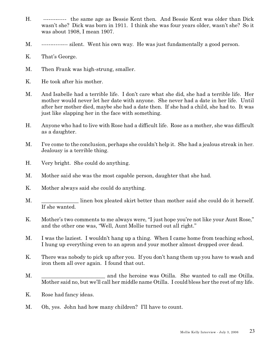- H. ------------- the same age as Bessie Kent then. And Bessie Kent was older than Dick wasn't she? Dick was born in 1911. I think she was four years older, wasn't she? So it was about 1908, I mean 1907.
- M. --------------- silent. Went his own way. He was just fundamentally a good person.
- K. That's George.
- M. Then Frank was high-strung, smaller.
- K. He took after his mother.
- M. And Isabelle had a terrible life. I don't care what she did, she had a terrible life. Her mother would never let her date with anyone. She never had a date in her life. Until after her mother died, maybe she had a date then. If she had a child, she had to. It was just like slapping her in the face with something.
- H. Anyone who had to live with Rose had a difficult life. Rose as a mother, she was difficult as a daughter.
- M. I've come to the conclusion, perhaps she couldn't help it. She had a jealous streak in her. Jealousy is a terrible thing.
- H. Very bright. She could do anything.
- M. Mother said she was the most capable person, daughter that she had.
- K. Mother always said she could do anything.
- M.  $\blacksquare$  linen box pleated skirt better than mother said she could do it herself. If she wanted.
- K. Mother's two comments to me always were, "I just hope you're not like your Aunt Rose," and the other one was, "Well, Aunt Mollie turned out all right."
- M. I was the laziest. I wouldn't hang up a thing. When I came home from teaching school, I hung up everything even to an apron and your mother almost dropped over dead.
- K. There was nobody to pick up after you. If you don't hang them up you have to wash and iron them all over again. I found that out.
- M. \_\_\_\_\_\_\_\_\_\_\_\_\_\_\_\_\_\_\_\_\_\_\_\_ and the heroine was Otilla. She wanted to call me Otilla. Mother said no, but we'll call her middle name Otilla. I could bless her the rest of my life.
- K. Rose had fancy ideas.
- M. Oh, yes. John had how many children? I'll have to count.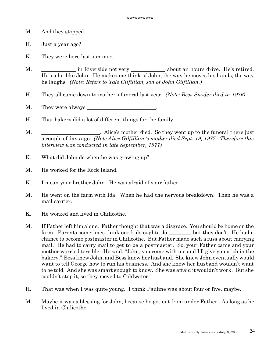- M. And they stopped.
- H. Just a year ago?
- K. They were here last summer.
- M. \_\_\_\_\_\_\_\_\_\_\_\_\_\_ in Riverside not very \_\_\_\_\_\_\_\_\_\_\_\_\_\_\_ about an hours drive. He's retired. He's a lot like John. He makes me think of John, the way he moves his hands, the way he laughs. *(Note: Refers to Yale Gilfillian, son of John Gilfillian.)*
- H. They all came down to mother's funeral last year. *(Note: Bess Snyder died in 1976)*
- M. They were always \_\_\_\_\_\_\_\_\_\_\_\_\_\_\_\_\_\_\_\_\_\_\_\_\_\_.
- H. That bakery did a lot of different things for the family.
- M.  $\blacksquare$  . Alice's mother died. So they went up to the funeral there just a couple of days ago. *(Note Alice Gilfillian 's mother died Sept. 19, 1977. Therefore this interview was conducted in late September, 1977)*
- K. What did John do when he was growing up?
- M. He worked for the Rock Island.
- K. I mean your brother John. He was afraid of your father.
- M. He went on the farm with Ida. When he had the nervous breakdown. Then he was a mail carrier.
- K. He worked and lived in Chilicothe.
- M. If Father left him alone. Father thought that was a disgrace. You should be home on the farm. Parents sometimes think our kids oughta do \_\_\_\_\_\_\_, but they don't. He had a chance to become postmaster in Chilicothe. But Father made such a fuss about carrying mail. He had to carry mail to get to be a postmaster. So, your Father came and your mother worried terrible. He said, "John, you come with me and I'll give you a job in the bakery." Bess knew John, and Bess knew her husband. She knew John eventually would want to tell George how to run his business. And she knew her husband wouldn't want to be told. And she was smart enough to know. She was afraid it wouldn't work. But she couldn't stop it, so they moved to Coldwater.
- H. That was when I was quite young. I think Pauline was about four or five, maybe.
- M. Maybe it was a blessing for John, because he got out from under Father. As long as he lived in Chilicothe the contract of the contract of  $\sim$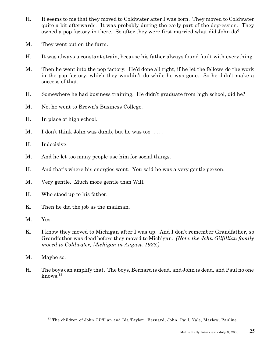- H. It seems to me that they moved to Coldwater after I was born. They moved to Coldwater quite a bit afterwards. It was probably during the early part of the depression. They owned a pop factory in there. So after they were first married what did John do?
- M. They went out on the farm.
- H. It was always a constant strain, because his father always found fault with everything.
- M. Then he went into the pop factory. He'd done all right, if he let the fellows do the work in the pop factory, which they wouldn't do while he was gone. So he didn't make a success of that.
- H. Somewhere he had business training. He didn't graduate from high school, did he?
- M. No, he went to Brown's Business College.
- H. In place of high school.
- M. I don't think John was dumb, but he was too ....
- H. Indecisive.
- M. And he let too many people use him for social things.
- H. And that's where his energies went. You said he was a very gentle person.
- M. Very gentle. Much more gentle than Will.
- H. Who stood up to his father.
- K. Then he did the job as the mailman.
- M. Yes.
- K. I know they moved to Michigan after I was up. And I don't remember Grandfather, so Grandfather was dead before they moved to Michigan. *(Note: the John Gilfillian family moved to Coldwater, Michigan in August, 1928.)*
- M. Maybe so.
- H. The boys can amplify that. The boys, Bernard is dead, and John is dead, and Paul no one  $k$ nows. $^{13}$

<sup>&</sup>lt;sup>13</sup> The children of John Gilfillan and Ida Taylor: Bernard, John, Paul, Yale, Marlow, Pauline.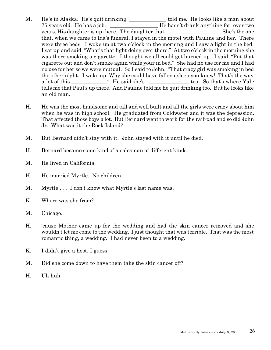- M. He's in Alaska. He's quit drinking, \_\_\_\_\_\_\_\_\_\_\_\_\_ told me. He looks like a man about 75 years old. He has a job. \_\_\_\_\_\_\_\_\_\_\_\_\_\_\_\_\_\_ He hasn't drank anything for over two years. His daughter is up there. The daughter that  $\qquad \qquad$  . She's the one that, when we came to Ida's funeral, I stayed in the motel with Pauline and her. There were three beds. I woke up at two o'clock in the morning and I saw a light in the bed. I sat up and said, "What's that light doing over there." At two o'clock in the morning she was there smoking a cigarette. I thought we all could get burned up. I said, "Put that cigarette out and don't smoke again while your in bed." She had no use for me and I had no use for her so we were mutual. So I said to John, "That crazy girl was smoking in bed the other night. I woke up. Why she could have fallen asleep you know! That's the way a lot of this \_\_\_\_\_\_\_\_\_\_\_." He said she's \_\_\_\_\_\_\_\_\_\_\_\_\_\_\_\_\_\_ too. So that's where Yale tells me that Paul's up there. And Pauline told me he quit drinking too. But he looks like an old man.
- H. He was the most handsome and tall and well built and all the girls were crazy about him when he was in high school. He graduated from Coldwater and it was the depression. That affected those boys a lot. But Bernard went to work for the railroad and so did John Jr. What was it the Rock Island?
- M. But Bernard didn't stay with it. John stayed with it until he died.
- H. Bernard became some kind of a salesman of different kinds.
- M. He lived in California.
- H. He married Myrtle. No children.
- M. Myrtle . . . I don't know what Myrtle's last name was.
- K. Where was she from?
- M. Chicago.
- H. 'cause Mother came up for the wedding and had the skin cancer removed and she wouldn't let me come to the wedding. I just thought that was terrible. That was the most romantic thing, a wedding. I had never been to a wedding.
- K. I didn't give a hoot, I guess.
- M. Did she come down to have them take the skin cancer off?
- H. Uh huh.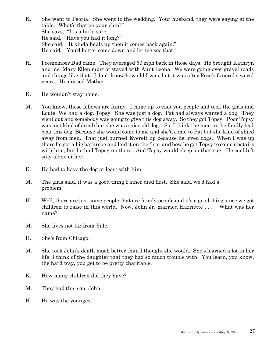- K. She went to Peoria. She went to the wedding. Your husband, they were saying at the table, "What's that on your chin?" She says, "It's a little sore." He said, "Have you had it long?" She said, "It kinda heals up then it comes back again." He said, "You'd better come down and let me see that."
- H. I remember Dad came. They averaged 50 mph back in those days. He brought Kathryn and me, Mary Ellen must of stayed with Aunt Leona. We were going over gravel roads and things like that. I don't know how old I was, but it was after Rose's funeral several years. He missed Mother.
- K. He wouldn't stay home.
- M. You know, these fellows are funny. I came up to visit you people and took the girls and Louie. We had a dog, Topsy. She was just a dog. Pat had always wanted a dog. They went out and somebody was going to give this dog away. So they got Topsy. Poor Topsy was just kind of dumb but she was a nice old dog. So, I think the men in the family had beat this dog. Because she would come to me and she'd come to Pat but she kind of shied away from men. That just burned Everett up because he loved dogs. When I was up there he got a big bathrobe and laid it on the floor and how he got Topsy to come upstairs with him, but he had Topsy up there. And Topsy would sleep on that rug. He couldn't stay alone either.
- K. He had to have the dog at least with him.
- M. The girls said, it was a good thing Father died first. She said, we'd had a \_\_\_\_\_\_\_ problem.
- H. Well, there are just some people that are family people and it's a good thing since we got children to raise in this world. Now, John Jr. married Harriette . . . . What was her name?
- M. She lives not far from Yale.
- H. She's from Chicago.
- M. She took John's death much better than I thought she would. She's learned a lot in her life. I think of the daughter that they had so much trouble with. You learn, you know, the hard way, you get to be pretty charitable.
- K. How many children did they have?
- M. They had this son, John.
- H. He was the youngest.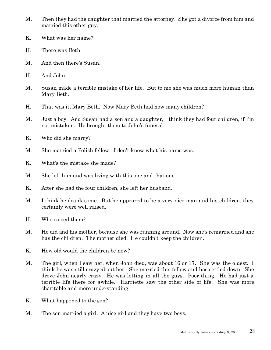- M. Then they had the daughter that married the attorney. She got a divorce from him and married this other guy.
- K. What was her name?
- H. There was Beth.
- M. And then there's Susan.
- H. And John.
- M. Susan made a terrible mistake of her life. But to me she was much more human than Mary Beth.
- H. That was it, Mary Beth. Now Mary Beth had how many children?
- M. Just a boy. And Susan had a son and a daughter, I think they had four children, if I'm not mistaken. He brought them to John's funeral.
- K. Who did she marry?
- M. She married a Polish fellow. I don't know what his name was.
- K. What's the mistake she made?
- M. She left him and was living with this one and that one.
- K. After she had the four children, she left her husband.
- M. I think he drank some. But he appeared to be a very nice man and his children, they certainly were well raised.
- H. Who raised them?
- M. He did and his mother, because she was running around. Now she's remarried and she has the children. The mother died. He couldn't keep the children.
- K. How old would the children be now?
- M. The girl, when I saw her, when John died, was about 16 or 17. She was the oldest. I think he was still crazy about her. She married this fellow and has settled down. She drove John nearly crazy. He was letting in all the guys. Poor thing. He had just a terrible life there for awhile. Harriette saw the other side of life. She was more charitable and more understanding.
- K. What happened to the son?
- M. The son married a girl. A nice girl and they have two boys.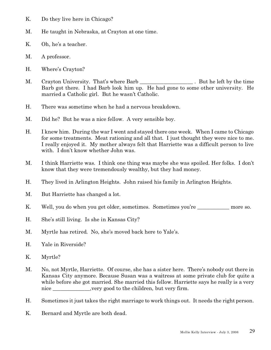- K. Do they live here in Chicago?
- M. He taught in Nebraska, at Crayton at one time.
- K. Oh, he's a teacher.
- M. A professor.
- H. Where's Crayton?
- M. Crayton University. That's where Barb \_\_\_\_\_\_\_\_\_\_\_\_\_\_\_\_\_\_\_\_. But he left by the time Barb got there. I had Barb look him up. He had gone to some other university. He married a Catholic girl. But he wasn't Catholic.
- H. There was sometime when he had a nervous breakdown.
- M. Did he? But he was a nice fellow. A very sensible boy.
- H. I knew him. During the war I went and stayed there one week. When I came to Chicago for some treatments. Meat rationing and all that. I just thought they were nice to me. I really enjoyed it. My mother always felt that Harriette was a difficult person to live with. I don't know whether John was.
- M. I think Harriette was. I think one thing was maybe she was spoiled. Her folks. I don't know that they were tremendously wealthy, but they had money.
- H. They lived in Arlington Heights. John raised his family in Arlington Heights.
- M. But Harriette has changed a lot.
- K. Well, you do when you get older, sometimes. Sometimes you're more so.
- H. She's still living. Is she in Kansas City?
- M. Myrtle has retired. No, she's moved back here to Yale's.
- H. Yale in Riverside?
- K. Myrtle?
- M. No, not Myrtle, Harriette. Of course, she has a sister here. There's nobody out there in Kansas City anymore. Because Susan was a waitress at some private club for quite a while before she got married. She married this fellow. Harriette says he really is a very nice \_\_\_\_\_\_\_\_\_\_\_\_, very good to the children, but very firm.
- H. Sometimes it just takes the right marriage to work things out. It needs the right person.
- K. Bernard and Myrtle are both dead.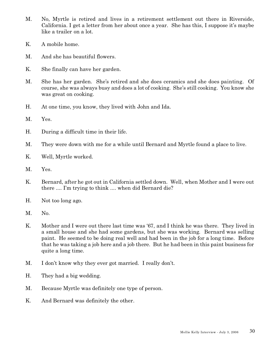- M. No, Myrtle is retired and lives in a retirement settlement out there in Riverside, California. I get a letter from her about once a year. She has this, I suppose it's maybe like a trailer on a lot.
- K. A mobile home.
- M. And she has beautiful flowers.
- K. She finally can have her garden.
- M. She has her garden. She's retired and she does ceramics and she does painting. Of course, she was always busy and does a lot of cooking. She's still cooking. You know she was great on cooking.
- H. At one time, you know, they lived with John and Ida.
- M. Yes.
- H. During a difficult time in their life.
- M. They were down with me for a while until Bernard and Myrtle found a place to live.
- K. Well, Myrtle worked.
- M. Yes.
- K. Bernard, after he got out in California settled down. Well, when Mother and I were out there .... I'm trying to think .... when did Bernard die?
- H. Not too long ago.
- M. No.
- K. Mother and I were out there last time was '67, and I think he was there. They lived in a small house and she had some gardens, but she was working. Bernard was selling paint. He seemed to be doing real well and had been in the job for a long time. Before that he was taking a job here and a job there. But he had been in this paint business for quite a long time.
- M. I don't know why they ever got married. I really don't.
- H. They had a big wedding.
- M. Because Myrtle was definitely one type of person.
- K. And Bernard was definitely the other.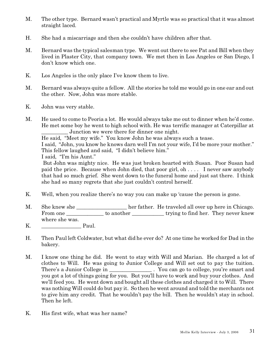- M. The other type. Bernard wasn't practical and Myrtle was so practical that it was almost straight laced.
- H. She had a miscarriage and then she couldn't have children after that.
- M. Bernard was the typical salesman type. We went out there to see Pat and Bill when they lived in Plaster City, that company town. We met then in Los Angeles or San Diego, I don't know which one.
- K. Los Angeles is the only place I've know them to live.
- M. Bernard was always quite a fellow. All the stories he told me would go in one ear and out the other. Now, John was more stable.
- K. John was very stable.
- M. He used to come to Peoria a lot. He would always take me out to dinner when he'd come. He met some boy he went to high school with. He was terrific manager at Caterpillar at Junction we were there for dinner one night.

He said, "Meet my wife." You know John he was always such a tease.

I said, "John, you know he knows darn well I'm not your wife, I'd be more your mother." This fellow laughed and said, "I didn't believe him."

I said, "I'm his Aunt."

 But John was mighty nice. He was just broken hearted with Susan. Poor Susan had paid the price. Because when John died, that poor girl, oh . . . . I never saw anybody that had so much grief. She went down to the funeral home and just sat there. I think she had so many regrets that she just couldn't control herself.

- K. Well, when you realize there's no way you can make up 'cause the person is gone.
- M. She knew she \_\_\_\_\_\_\_\_\_\_\_\_\_\_\_\_\_\_ her father. He traveled all over up here in Chicago. From one \_\_\_\_\_\_\_\_\_\_\_\_\_\_ to another \_\_\_\_\_\_\_\_\_\_\_\_ trying to find her. They never knew where she was.
- K. <u>\_\_\_\_\_\_\_\_\_\_\_\_\_\_\_\_</u> Paul.
- H. Then Paul left Coldwater, but what did he ever do? At one time he worked for Dad in the bakery.
- M. I know one thing he did. He went to stay with Will and Marian. He charged a lot of clothes to Will. He was going to Junior College and Will set out to pay the tuition. There's a Junior College in \_\_\_\_\_\_\_\_\_\_\_\_\_\_\_\_\_\_\_\_. You can go to college, you're smart and you got a lot of things going for you. But you'll have to work and buy your clothes. And we'll feed you. He went down and bought all these clothes and charged it to Will. There was nothing Will could do but pay it. So then he went around and told the merchants not to give him any credit. That he wouldn't pay the bill. Then he wouldn't stay in school. Then he left.
- K. His first wife, what was her name?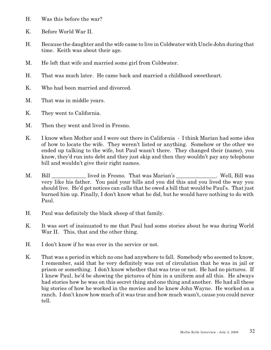- H. Was this before the war?
- K. Before World War II.
- H. Because the daughter and the wife came to live in Coldwater with Uncle John during that time. Keith was about their age.
- M. He left that wife and married some girl from Coldwater.
- H. That was much later. He came back and married a childhood sweetheart.
- K. Who had been married and divorced.
- M. That was in middle years.
- K. They went to California.
- M. Then they went and lived in Fresno.
- K. I know when Mother and I were out there in California I think Marian had some idea of how to locate the wife. They weren't listed or anything. Somehow or the other we ended up talking to the wife, but Paul wasn't there. They changed their (name), you know, they'd run into debt and they just skip and then they wouldn't pay any telephone bill and wouldn't give their right names.
- M. Bill lived in Fresno. That was Marian's The Well, Bill was very like his father. You paid your bills and you did this and you lived the way you should live. He'd get notices can calls that he owed a bill that would be Paul's. That just burned him up. Finally, I don't know what he did, but he would have nothing to do with Paul.
- H. Paul was definitely the black sheep of that family.
- K. It was sort of insinuated to me that Paul had some stories about he was during World War II. This, that and the other thing.
- H. I don't know if he was ever in the service or not.
- K. That was a period in which no one had anywhere to fall. Somebody who seemed to know, I remember, said that he very definitely was out of circulation that he was in jail or prison or something. I don't know whether that was true or not. He had no pictures. If I knew Paul, he'd be showing the pictures of him in a uniform and all this. He always had stories how he was on this secret thing and one thing and another. He had all these big stories of how he worked in the movies and he knew John Wayne. He worked on a ranch. I don't know how much of it was true and how much wasn't, cause you could never tell.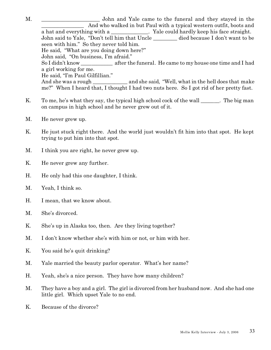M.  $\blacksquare$   $\blacksquare$   $\blacksquare$   $\blacksquare$   $\blacksquare$   $\blacksquare$   $\blacksquare$   $\blacksquare$   $\blacksquare$   $\blacksquare$   $\blacksquare$   $\blacksquare$   $\blacksquare$   $\blacksquare$   $\blacksquare$   $\blacksquare$   $\blacksquare$   $\blacksquare$   $\blacksquare$   $\blacksquare$   $\blacksquare$   $\blacksquare$   $\blacksquare$   $\blacksquare$   $\blacksquare$   $\blacksquare$   $\blacksquare$   $\blacksquare$   $\blacksquare$   $\blacksquare$   $\blacksquare$   $\$ And who walked in but Paul with a typical western outfit, boots and a hat and everything with a  $\blacksquare$ . Yale could hardly keep his face straight. John said to Yale, "Don't tell him that Uncle died because I don't want to be seen with him." So they never told him. He said, "What are you doing down here?" John said, "On business, I'm afraid." So I didn't know after the funeral. He came to my house one time and I had a girl working for me. He said, "I'm Paul Gilfillian." And she was a rough \_\_\_\_\_\_\_\_\_\_\_\_\_ and she said, "Well, what in the hell does that make me?" When I heard that, I thought I had two nuts here. So I got rid of her pretty fast.

- K. To me, he's what they say, the typical high school cock of the wall Figure . The big man on campus in high school and he never grew out of it.
- M. He never grew up.
- K. He just stuck right there. And the world just wouldn't fit him into that spot. He kept trying to put him into that spot.
- M. I think you are right, he never grew up.
- K. He never grew any further.
- H. He only had this one daughter, I think.
- M. Yeah, I think so.
- H. I mean, that we know about.
- M. She's divorced.
- K. She's up in Alaska too, then. Are they living together?
- M. I don't know whether she's with him or not, or him with her.
- K. You said he's quit drinking?
- M. Yale married the beauty parlor operator. What's her name?
- H. Yeah, she's a nice person. They have how many children?
- M. They have a boy and a girl. The girl is divorced from her husband now. And she had one little girl. Which upset Yale to no end.
- K. Because of the divorce?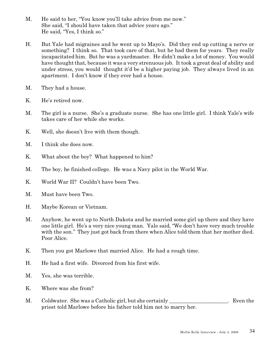- M. He said to her, "You know you'll take advice from me now." She said, "I should have taken that advice years ago." He said, "Yes, I think so."
- H. But Yale had migraines and he went up to Mayo's. Did they end up cutting a nerve or something? I think so. That took care of that, but he had them for years. They really incapacitated him. But he was a yardmaster. He didn't make a lot of money. You would have thought that, because it was a very strenuous job. It took a great deal of ability and under stress, you would thought it'd be a higher paying job. They always lived in an apartment. I don't know if they ever had a house.
- M. They had a house.
- K. He's retired now.
- M. The girl is a nurse. She's a graduate nurse. She has one little girl. I think Yale's wife takes care of her while she works.
- K. Well, she doesn't live with them though.
- M. I think she does now.
- K. What about the boy? What happened to him?
- M. The boy, he finished college. He was a Navy pilot in the World War.
- K. World War II? Couldn't have been Two.
- M. Must have been Two.
- H. Maybe Korean or Vietnam.
- M. Anyhow, he went up to North Dakota and he married some girl up there and they have one little girl. He's a very nice young man. Yale said, "We don't have very much trouble with the son." They just got back from there when Alice told them that her mother died. Poor Alice.
- K. Then you got Marlowe that married Alice. He had a rough time.
- H. He had a first wife. Divorced from his first wife.
- M. Yes, she was terrible.
- K. Where was she from?
- M. Coldwater. She was a Catholic girl, but she certainly example the state of the state of the state of the state of the state of the state of the state of the state of the state of the state of the state of the state of t priest told Marlowe before his father told him not to marry her.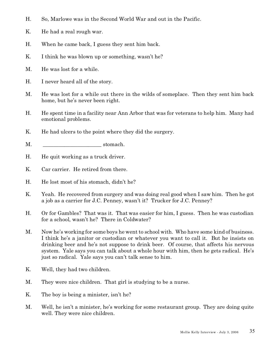- H. So, Marlowe was in the Second World War and out in the Pacific.
- K. He had a real rough war.
- H. When he came back, I guess they sent him back.
- K. I think he was blown up or something, wasn't he?
- M. He was lost for a while.
- H. I never heard all of the story.
- M. He was lost for a while out there in the wilds of someplace. Then they sent him back home, but he's never been right.
- H. He spent time in a facility near Ann Arbor that was for veterans to help him. Many had emotional problems.
- K. He had ulcers to the point where they did the surgery.
- M. Stomach.
- H. He quit working as a truck driver.
- K. Car carrier. He retired from there.
- H. He lost most of his stomach, didn't he?
- K. Yeah. He recovered from surgery and was doing real good when I saw him. Then he got a job as a carrier for J.C. Penney, wasn't it? Trucker for J.C. Penney?
- H. Or for Gambles? That was it. That was easier for him, I guess. Then he was custodian for a school, wasn't he? There in Coldwater?
- M. Now he's working for some boys he went to school with. Who have some kind of business. I think he's a janitor or custodian or whatever you want to call it. But he insists on drinking beer and he's not suppose to drink beer. Of course, that affects his nervous system. Yale says you can talk about a whole hour with him, then he gets radical. He's just so radical. Yale says you can't talk sense to him.
- K. Well, they had two children.
- M. They were nice children. That girl is studying to be a nurse.
- K. The boy is being a minister, isn't he?
- M. Well, he isn't a minister, he's working for some restaurant group. They are doing quite well. They were nice children.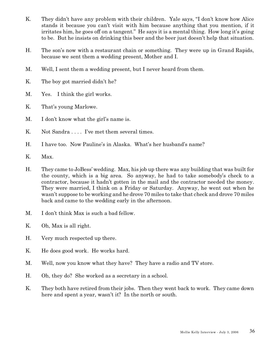- K. They didn't have any problem with their children. Yale says, "I don't know how Alice stands it because you can't visit with him because anything that you mention, if it irritates him, he goes off on a tangent." He says it is a mental thing. How long it's going to be. But he insists on drinking this beer and the beer just doesn't help that situation.
- H. The son's now with a restaurant chain or something. They were up in Grand Rapids, because we sent them a wedding present, Mother and I.
- M. Well, I sent them a wedding present, but I never heard from them.
- K. The boy got married didn't he?
- M. Yes. I think the girl works.
- K. That's young Marlowe.
- M. I don't know what the girl's name is.
- K. Not Sandra . . . . I've met them several times.
- H. I have too. Now Pauline's in Alaska. What's her husband's name?
- K. Max.
- H. They came to JoBess' wedding. Max, his job up there was any building that was built for the county, which is a big area. So anyway, he had to take somebody's check to a contractor, because it hadn't gotten in the mail and the contractor needed the money. They were married, I think on a Friday or Saturday. Anyway, he went out when he wasn't suppose to be working and he drove 70 miles to take that check and drove 70 miles back and came to the wedding early in the afternoon.
- M. I don't think Max is such a bad fellow.
- K. Oh, Max is all right.
- H. Very much respected up there.
- K. He does good work. He works hard.
- M. Well, now you know what they have? They have a radio and TV store.
- H. Oh, they do? She worked as a secretary in a school.
- K. They both have retired from their jobs. Then they went back to work. They came down here and spent a year, wasn't it? In the north or south.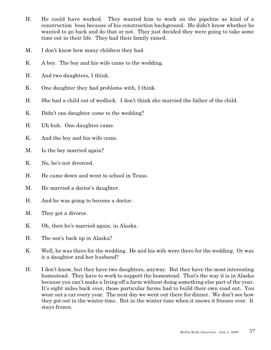- H. He could have worked. They wanted him to work on the pipeline as kind of a construction boss because of his construction background. He didn't know whether he wanted to go back and do that or not. They just decided they were going to take some time out in their life. They had their family raised.
- M. I don't know how many children they had.
- K. A boy. The boy and his wife came to the wedding.
- H. And two daughters, I think.
- K. One daughter they had problems with, I think.
- H. She had a child out of wedlock. I don't think she married the father of the child.
- K. Didn't one daughter come to the wedding?
- H. Uh huh. One daughter came.
- K. And the boy and his wife came.
- M. Is the boy married again?
- K. No, he's not divorced.
- H. He came down and went to school in Texas.
- M. He married a doctor's daughter.
- H. And he was going to become a doctor.
- M. They got a divorce.
- K. Oh, then he's married again, in Alaska.
- H. The son's back up in Alaska?
- K. Well, he was there for the wedding. He and his wife were there for the wedding. Or was it a daughter and her husband?
- H. I don't know, but they have two daughters, anyway. But they have the most interesting homestead. They have to work to support the homestead. That's the way it is in Alaska because you can't make a living off a farm without doing something else part of the year. It's eight miles back over, those particular farms had to build their own road out. You wear out a car every year. The next day we went out there for dinner. We don't see how they got out in the winter time. But in the winter time when it snows it freezes over. It stays frozen.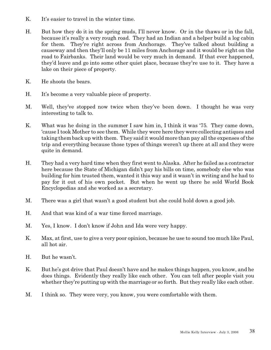- K. It's easier to travel in the winter time.
- H. But how they do it in the spring muds, I'll never know. Or in the thaws or in the fall, because it's really a very rough road. They had an Indian and a helper build a log cabin for them. They're right across from Anchorage. They've talked about building a causeway and then they'll only be 11 miles from Anchorage and it would be right on the road to Fairbanks. Their land would be very much in demand. If that ever happened, they'd leave and go into some other quiet place, because they're use to it. They have a lake on their piece of property.
- K. He shoots the bears.
- H. It's become a very valuable piece of property.
- M. Well, they've stopped now twice when they've been down. I thought he was very interesting to talk to.
- K. What was he doing in the summer I saw him in, I think it was '75. They came down, 'cause I took Mother to see them. While they were here they were collecting antiques and taking them back up with them. They said it would more than pay all the expenses of the trip and everything because those types of things weren't up there at all and they were quite in demand.
- H. They had a very hard time when they first went to Alaska. After he failed as a contractor here because the State of Michigan didn't pay his bills on time, somebody else who was building for him trusted them, wanted it this way and it wasn't in writing and he had to pay for it out of his own pocket. But when he went up there he sold World Book Encyclopedias and she worked as a secretary.
- M. There was a girl that wasn't a good student but she could hold down a good job.
- H. And that was kind of a war time forced marriage.
- M. Yes, I know. I don't know if John and Ida were very happy.
- K. Max, at first, use to give a very poor opinion, because he use to sound too much like Paul, all hot air.
- H. But he wasn't.
- K. But he's got drive that Paul doesn't have and he makes things happen, you know, and he does things. Evidently they really like each other. You can tell after people visit you whether they're putting up with the marriage or so forth. But they really like each other.
- M. I think so. They were very, you know, you were comfortable with them.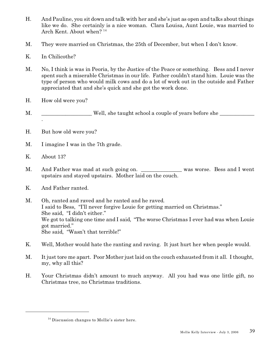- H. And Pauline, you sit down and talk with her and she's just as open and talks about things like we do. She certainly is a nice woman. Clara Louisa, Aunt Louie, was married to Arch Kent. About when?<sup>14</sup>
- M. They were married on Christmas, the 25th of December, but when I don't know.
- K. In Chilicothe?
- M. No, I think is was in Peoria, by the Justice of the Peace or something. Bess and I never spent such a miserable Christmas in our life. Father couldn't stand him. Louie was the type of person who would milk cows and do a lot of work out in the outside and Father appreciated that and she's quick and she got the work done.
- H. How old were you?
- M. Well, she taught school a couple of years before she .
- H. But how old were you?
- M. I imagine I was in the 7th grade.
- K. About 13?
- M. And Father was mad at such going on. \_\_\_\_\_\_\_\_\_\_\_\_\_\_ was worse. Bess and I went upstairs and stayed upstairs. Mother laid on the couch.
- K. And Father ranted.
- M. Oh, ranted and raved and he ranted and he raved. I said to Bess, "I'll never forgive Louie for getting married on Christmas." She said, "I didn't either." We got to talking one time and I said, "The worse Christmas I ever had was when Louie" got married." She said, "Wasn't that terrible!"
- K. Well, Mother would hate the ranting and raving. It just hurt her when people would.
- M. It just tore me apart. Poor Mother just laid on the couch exhausted from it all. I thought, my, why all this?
- H. Your Christmas didn't amount to much anyway. All you had was one little gift, no Christmas tree, no Christmas traditions.

<sup>&</sup>lt;sup>14</sup> Discussion changes to Mollie's sister here.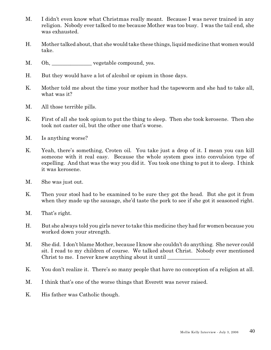- M. I didn't even know what Christmas really meant. Because I was never trained in any religion. Nobody ever talked to me because Mother was too busy. I was the tail end, she was exhausted.
- H. Mother talked about, that she would take these things, liquid medicine that women would take.
- M. Oh, vegetable compound, yes.
- H. But they would have a lot of alcohol or opium in those days.
- K. Mother told me about the time your mother had the tapeworm and she had to take all, what was it?
- M. All those terrible pills.
- K. First of all she took opium to put the thing to sleep. Then she took kerosene. Then she took not caster oil, but the other one that's worse.
- M. Is anything worse?
- K. Yeah, there's something, Croten oil. You take just a drop of it. I mean you can kill someone with it real easy. Because the whole system goes into convulsion type of expelling. And that was the way you did it. You took one thing to put it to sleep. I think it was kerosene.
- M. She was just out.
- K. Then your stool had to be examined to be sure they got the head. But she got it from when they made up the sausage, she'd taste the pork to see if she got it seasoned right.
- M. That's right.
- H. But she always told you girls never to take this medicine they had for women because you worked down your strength.
- M. She did. I don't blame Mother, because I know she couldn't do anything. She never could sit. I read to my children of course. We talked about Christ. Nobody ever mentioned Christ to me. I never knew anything about it until  $\Box$
- K. You don't realize it. There's so many people that have no conception of a religion at all.
- M. I think that's one of the worse things that Everett was never raised.
- K. His father was Catholic though.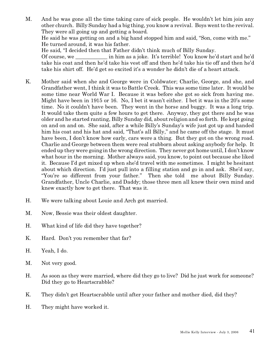M. And he was gone all the time taking care of sick people. He wouldn't let him join any other church. Billy Sunday had a big thing, you know a revival. Boys went to the revival. They were all going up and getting a board. He said he was getting on and a big hand stopped him and said, "Son, come with me." He turned around, it was his father. He said, "I decided then that Father didn't think much of Billy Sunday. Of course, we can be in him as a joke. It's terrible! You know he'd start and he'd

take his coat and then he'd take his vest off and then he'd take his tie off and then he'd take his shirt off. He'd get so excited it's a wonder he didn't die of a heart attack.

- K. Mother said when she and George were in Coldwater; Charlie, George, and she, and Grandfather went, I think it was to Battle Creek. This was some time later. It would be some time near World War I. Because it was before she got so sick from having me. Might have been in 1915 or 16. No, I bet it wasn't either. I bet it was in the 20's some time. No it couldn't have been. They went in the horse and buggy. It was a long trip. It would take them quite a few hours to get there. Anyway, they got there and he was older and he started ranting, Billy Sunday did, about religion and so forth. He kept going on and on and on. She said, after a while Billy's Sunday's wife just got up and handed him his coat and his hat and said, "That's all Billy," and he came off the stage. It must have been, I don't know how early, cars were a thing. But they got on the wrong road. Charlie and George between them were real stubborn about asking anybody for help. It ended up they were going in the wrong direction. They never got home until, I don't know what hour in the morning. Mother always said, you know, to point out because she liked it. Because I'd get mixed up when she'd travel with me sometimes. I might be hesitant about which direction. I'd just pull into a filling station and go in and ask. She'd say, "You're so different from your father." Then she told me about Billy Sunday. Grandfather, Uncle Charlie, and Daddy; those three men all knew their own mind and knew exactly how to get there. That was it.
- H. We were talking about Louie and Arch got married.
- M. Now, Bessie was their oldest daughter.
- H. What kind of life did they have together?
- K. Hard. Don't you remember that far?
- H. Yeah, I do.
- M. Not very good.
- H. As soon as they were married, where did they go to live? Did he just work for someone? Did they go to Heartscrabble?
- K. They didn't get Heartscrabble until after your father and mother died, did they?
- H. They might have worked it.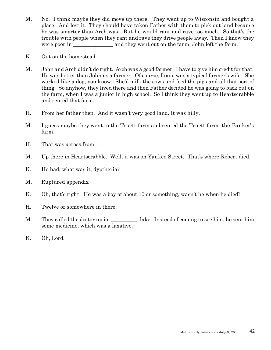- M. No. I think maybe they did move up there. They went up to Wisconsin and bought a place. And lost it. They should have taken Father with them to pick out land because he was smarter than Arch was. But he would rant and rave too much. So that's the trouble with people when they rant and rave they drive people away. Then I know they were poor in and they went out on the farm. John left the farm.
- K. Out on the homestead.
- M. John and Arch didn't do right. Arch was a good farmer. I have to give him credit for that. He was better than John as a farmer. Of course, Louie was a typical farmer's wife. She worked like a dog, you know. She'd milk the cows and feed the pigs and all that sort of thing. So anyhow, they lived there and then Father decided he was going to back out on the farm, when I was a junior in high school. So I think they went up to Heartscrabble and rented that farm.
- H. From her father then. And it wasn't very good land. It was hilly.
- M. I guess maybe they went to the Truett farm and rented the Truett farm, the Banker's farm.
- H. That was across from . . . .
- M. Up there in Heartscrabble. Well, it was on Yankee Street. That's where Robert died.
- K. He had, what was it, dyptheria?
- M. Ruptured appendix
- K. Oh, that's right. He was a boy of about 10 or something, wasn't he when he died?
- H. Twelve or somewhere in there.
- M. They called the doctor up in lake. Instead of coming to see him, he sent him some medicine, which was a laxative.
- K. Oh, Lord.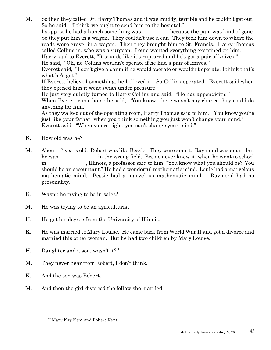M. So then they called Dr. Harry Thomas and it was muddy, terrible and he couldn't get out. So he said, "I think we ought to send him to the hospital." I suppose he had a hunch something was because the pain was kind of gone. So they put him in a wagon. They couldn't use a car. They took him down to where the roads were gravel in a wagon. Then they brought him to St. Francis. Harry Thomas called Collins in, who was a surgeon. Louie wanted everything examined on him. Harry said to Everett, "It sounds like it's ruptured and he's got a pair of knives." He said, "Oh, no Collins wouldn't operate if he had a pair of knives." Everett said, "I don't give a danm if he would operate or wouldn't operate, I think that's what he's got." If Everett believed something, he believed it. So Collins operated. Everett said when they opened him it went swish under pressure.

He just very quietly turned to Harry Collins and said, "He has appendicitis."

When Everett came home he said, "You know, there wasn't any chance they could do anything for him."

As they walked out of the operating room, Harry Thomas said to him, "You know you're just like your father, when you think something you just won't change your mind." Everett said, "When you're right, you can't change your mind."

- K. How old was he?
- M. About 12 years old. Robert was like Bessie. They were smart. Raymond was smart but he was \_\_\_\_\_\_\_\_\_\_\_\_\_\_ in the wrong field. Bessie never knew it, when he went to school in \_\_\_\_\_\_\_\_\_\_\_\_\_\_ , Illinois, a professor said to him, "You know what you should be? You should be an accountant." He had a wonderful mathematic mind. Louie had a marvelous mathematic mind. Bessie had a marvelous mathematic mind. Raymond had no personality.
- K. Wasn't he trying to be in sales?
- M. He was trying to be an agriculturist.
- H. He got his degree from the University of Illinois.
- K. He was married to Mary Louise. He came back from World War II and got a divorce and married this other woman. But he had two children by Mary Louise.
- H. Daughter and a son, wasn't it?  $15$
- M. They never hear from Robert, I don't think.
- K. And the son was Robert.
- M. And then the girl divorced the fellow she married.

<sup>&</sup>lt;sup>15</sup> Mary Kay Kent and Robert Kent.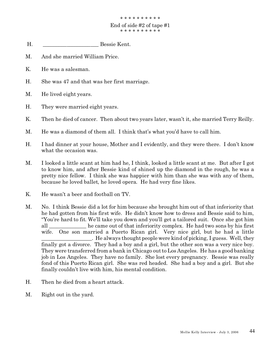- H. \_\_\_\_\_\_\_\_\_\_\_\_\_\_\_\_\_\_\_\_\_ Bessie Kent.
- M. And she married William Price.
- K. He was a salesman.
- H. She was 47 and that was her first marriage.
- M. He lived eight years.
- H. They were married eight years.
- K. Then he died of cancer. Then about two years later, wasn't it, she married Terry Reilly.
- M. He was a diamond of them all. I think that's what you'd have to call him.
- H. I had dinner at your house, Mother and I evidently, and they were there. I don't know what the occasion was.
- M. I looked a little scant at him had he, I think, looked a little scant at me. But after I got to know him, and after Bessie kind of shined up the diamond in the rough, he was a pretty nice fellow. I think she was happier with him than she was with any of them, because he loved ballet, he loved opera. He had very fine likes.
- K. He wasn't a beer and football on TV.
- M. No. I think Bessie did a lot for him because she brought him out of that inferiority that he had gotten from his first wife. He didn't know how to dress and Bessie said to him, "You're hard to fit. We'll take you down and you'll get a tailored suit. Once she got him all \_\_\_\_\_\_\_\_\_\_\_\_\_\_ he came out of that inferiority complex. He had two sons by his first wife. One son married a Puerto Rican girl. Very nice girl, but he had a little \_\_\_\_\_\_\_\_\_\_\_\_\_\_\_\_\_\_\_. He always thought people were kind of picking, I guess. Well, they finally got a divorce. They had a boy and a girl, but the other son was a very nice boy. They were transferred from a bank in Chicago out to Los Angeles. He has a good banking job in Los Angeles. They have no family. She lost every pregnancy. Bessie was really fond of this Puerto Rican girl. She was red headed. She had a boy and a girl. But she finally couldn't live with him, his mental condition.
- H. Then he died from a heart attack.
- M. Right out in the yard.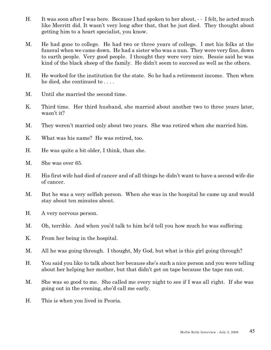- H. It was soon after I was here. Because I had spoken to her about, - I felt, he acted much like Merritt did. It wasn't very long after that, that he just died. They thought about getting him to a heart specialist, you know.
- M. He had gone to college. He had two or three years of college. I met his folks at the funeral when we came down. He had a sister who was a nun. They were very fine, down to earth people. Very good people. I thought they were very nice. Bessie said he was kind of the black sheep of the family. He didn't seem to succeed as well as the others.
- H. He worked for the institution for the state. So he had a retirement income. Then when he died, she continued to . . . .
- M. Until she married the second time.
- K. Third time. Her third husband, she married about another two to three years later, wasn't it?
- M. They weren't married only about two years. She was retired when she married him.
- K. What was his name? He was retired, too.
- H. He was quite a bit older, I think, than she.
- M. She was over 65.
- H. His first wife had died of cancer and of all things he didn't want to have a second wife die of cancer.
- M. But he was a very selfish person. When she was in the hospital he came up and would stay about ten minutes about.
- H. A very nervous person.
- M. Oh, terrible. And when you'd talk to him he'd tell you how much he was suffering.
- K. From her being in the hospital.
- M. All he was going through. I thought, My God, but what is this girl going through?
- H. You said you like to talk about her because she's such a nice person and you were telling about her helping her mother, but that didn't get on tape because the tape ran out.
- M. She was so good to me. She called me every night to see if I was all right. If she was going out in the evening, she'd call me early.
- H. This is when you lived in Peoria.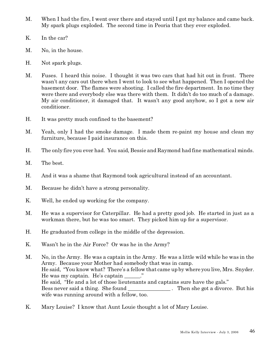- M. When I had the fire, I went over there and stayed until I got my balance and came back. My spark plugs exploded. The second time in Peoria that they ever exploded.
- K. In the car?
- M. No, in the house.
- H. Not spark plugs.
- M. Fuses. I heard this noise. I thought it was two cars that had hit out in front. There wasn't any cars out there when I went to look to see what happened. Then I opened the basement door. The flames were shooting. I called the fire department. In no time they were there and everybody else was there with them. It didn't do too much of a damage. My air conditioner, it damaged that. It wasn't any good anyhow, so I got a new air conditioner.
- H. It was pretty much confined to the basement?
- M. Yeah, only I had the smoke damage. I made them re-paint my house and clean my furniture, because I paid insurance on this.
- H. The only fire you ever had. You said, Bessie and Raymond had fine mathematical minds.
- M. The best.
- H. And it was a shame that Raymond took agricultural instead of an accountant.
- M. Because he didn't have a strong personality.
- K. Well, he ended up working for the company.
- M. He was a supervisor for Caterpillar. He had a pretty good job. He started in just as a workman there, but he was too smart. They picked him up for a supervisor.
- H. He graduated from college in the middle of the depression.
- K. Wasn't he in the Air Force? Or was he in the Army?
- M. No, in the Army. He was a captain in the Army. He was a little wild while he was in the Army. Because your Mother had somebody that was in camp. He said, "You know what? There's a fellow that came up by where you live, Mrs. Snyder. He was my captain. He's captain  $\ddot{\hspace{1cm}}$ . He said, "He and a lot of those lieutenants and captains sure have the gals." Bess never said a thing. She found \_\_\_\_\_\_\_\_\_\_\_\_\_\_\_\_\_\_\_. Then she got a divorce. But his wife was running around with a fellow, too.
- K. Mary Louise? I know that Aunt Louie thought a lot of Mary Louise.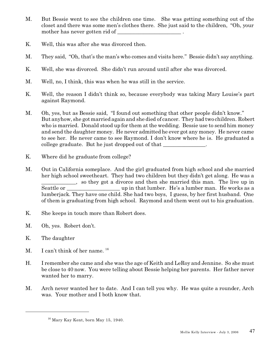- M. But Bessie went to see the children one time. She was getting something out of the closet and there was some men's clothes there. She just said to the children, "Oh, your mother has never gotten rid of
- K. Well, this was after she was divorced then.
- M. They said, "Oh, that's the man's who comes and visits here." Bessie didn't say anything.
- K. Well, she was divorced. She didn't run around until after she was divorced.
- M. Well, no, I think, this was when he was still in the service.
- K. Well, the reason I didn't think so, because everybody was taking Mary Louise's part against Raymond.
- M. Oh, yes, but as Bessie said, "I found out something that other people didn't know." But anyhow, she got married again and she died of cancer. They had two children. Robert who is married. Donald stood up for them at the wedding. Bessie use to send him money and send the daughter money. He never admitted he ever got any money. He never came to see her. He never came to see Raymond. I don't know where he is. He graduated a college graduate. But he just dropped out of that
- K. Where did he graduate from college?
- M. Out in California someplace. And the girl graduated from high school and she married her high school sweetheart. They had two children but they didn't get along. He was a \_\_\_\_\_\_\_\_\_\_\_\_\_, so they got a divorce and then she married this man. The live up in Seattle or \_\_\_\_\_\_\_\_\_\_\_\_\_\_\_\_\_\_\_\_ up in that lumber. He's a lumber man. He works as a lumberjack. They have one child. She had two boys, I guess, by her first husband. One of them is graduating from high school. Raymond and them went out to his graduation.
- K. She keeps in touch more than Robert does.
- M. Oh, yes. Robert don't.
- K. The daughter
- M. I can't think of her name. <sup>16</sup>
- H. I remember she came and she was the age of Keith and LeRoy and Jennine. So she must be close to 40 now. You were telling about Bessie helping her parents. Her father never wanted her to marry.
- M. Arch never wanted her to date. And I can tell you why. He was quite a rounder, Arch was. Your mother and I both know that.

 $16$  Mary Kay Kent, born May 15, 1940.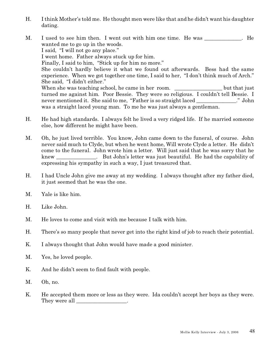- H. I think Mother's told me. He thought men were like that and he didn't want his daughter dating.
- M. I used to see him then. I went out with him one time. He was . He wanted me to go up in the woods. I said, "I will not go any place." I went home. Father always stuck up for him. Finally, I said to him, "Stick up for him no more." She couldn't hardly believe it what we found out afterwards. Bess had the same experience. When we got together one time, I said to her, "I don't think much of Arch." She said, "I didn't either." When she was teaching school, he came in her room. \_\_\_\_\_\_\_\_\_\_\_\_\_\_\_\_\_\_ but that just turned me against him. Poor Bessie. They were so religious. I couldn't tell Bessie. I never mentioned it. She said to me, "Father is so straight laced ..." John was a straight laced young man. To me he was just always a gentleman.
- H. He had high standards. I always felt he lived a very ridged life. If he married someone else, how different he might have been.
- M. Oh, he just lived terrible. You know, John came down to the funeral, of course. John never said much to Clyde, but when he went home, Will wrote Clyde a letter. He didn't come to the funeral. John wrote him a letter. Will just said that he was sorry that he knew \_\_\_\_\_\_\_\_\_\_\_\_\_\_\_. But John's letter was just beautiful. He had the capability of expressing his sympathy in such a way, I just treasured that.
- H. I had Uncle John give me away at my wedding. I always thought after my father died, it just seemed that he was the one.
- M. Yale is like him.
- H. Like John.
- M. He loves to come and visit with me because I talk with him.
- H. There's so many people that never get into the right kind of job to reach their potential.
- K. I always thought that John would have made a good minister.
- M. Yes, he loved people.
- K. And he didn't seem to find fault with people.
- M. Oh, no.
- K. He accepted them more or less as they were. Ida couldn't accept her boys as they were. They were all  $\qquad \qquad$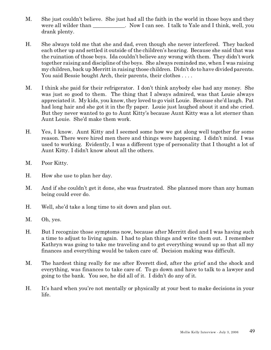- M. She just couldn't believe. She just had all the faith in the world in those boys and they were all wilder than \_\_\_\_\_\_\_\_\_\_\_. Now I can see. I talk to Yale and I think, well, you drank plenty.
- H. She always told me that she and dad, even though she never interfered. They backed each other up and settled it outside of the children's hearing. Because she said that was the ruination of those boys. Ida couldn't believe any wrong with them. They didn't work together raising and discipline of the boys. She always reminded me, when I was raising my children, back up Merritt in raising those children. Didn't do to have divided parents. You said Bessie bought Arch, their parents, their clothes . . . .
- M. I think she paid for their refrigerator. I don't think anybody else had any money. She was just so good to them. The thing that I always admired, was that Louie always appreciated it. My kids, you know, they loved to go visit Louie. Because she'd laugh. Pat had long hair and she got it in the fly paper. Louie just laughed about it and she cried. But they never wanted to go to Aunt Kitty's because Aunt Kitty was a lot sterner than Aunt Louie. She'd make them work.
- H. Yes, I know. Aunt Kitty and I seemed some how we got along well together for some reason. There were hired men there and things were happening. I didn't mind. I was used to working. Evidently, I was a different type of personality that I thought a lot of Aunt Kitty. I didn't know about all the others.
- M. Poor Kitty.
- H. How she use to plan her day.
- M. And if she couldn't get it done, she was frustrated. She planned more than any human being could ever do.
- H. Well, she'd take a long time to sit down and plan out.
- M. Oh, yes.
- H. But I recognize those symptoms now, because after Merritt died and I was having such a time to adjust to living again. I had to plan things and write them out. I remember Kathryn was going to take me traveling and to get everything wound up so that all my finances and everything would be taken care of. Decision making was difficult.
- M. The hardest thing really for me after Everett died, after the grief and the shock and everything, was finances to take care of. To go down and have to talk to a lawyer and going to the bank. You see, he did all of it. I didn't do any of it.
- H. It's hard when you're not mentally or physically at your best to make decisions in your life.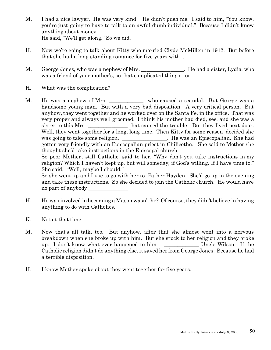- M. I had a nice lawyer. He was very kind. He didn't push me. I said to him, "You know, you're just going to have to talk to an awful dumb individual." Because I didn't know anything about money. He said, "We'll get along." So we did.
- H. Now we're going to talk about Kitty who married Clyde McMillen in 1912. But before that she had a long standing romance for five years with ...
- M. George Jones, who was a nephew of Mrs.  $\qquad \qquad$  He had a sister, Lydia, who was a friend of your mother's, so that complicated things, too.
- H. What was the complication?
- M. He was a nephew of Mrs. \_\_\_\_\_\_\_\_\_\_\_\_ who caused a scandal. But George was a handsome young man. But with a very bad disposition. A very critical person. But anyhow, they went together and he worked over on the Santa Fe, in the office. That was very proper and always well groomed. I think his mother had died, see, and she was a sister to this Mrs.  $\qquad \qquad$  that caused the trouble. But they lived next door. Well, they went together for a long, long time. Then Kitty for some reason decided she was going to take some religion. \_\_\_\_\_\_\_\_\_\_\_\_\_\_\_. He was an Episcopalian. She had gotten very friendly with an Episcopalian priest in Chilicothe. She said to Mother she thought she'd take instructions in the Episcopal church.

So poor Mother, still Catholic, said to her, "Why don't you take instructions in my religion? Which I haven't kept up, but will someday, if God's willing. If I have time to." She said, "Well, maybe I should."

So she went up and I use to go with her to Father Hayden. She'd go up in the evening and take these instructions. So she decided to join the Catholic church. He would have no part of anybody

- H. He was involved in becoming a Mason wasn't he? Of course, they didn't believe in having anything to do with Catholics.
- K. Not at that time.
- M. Now that's all talk, too. But anyhow, after that she almost went into a nervous breakdown when she broke up with him. But she stuck to her religion and they broke up. I don't know what ever happened to him. \_\_\_\_\_\_\_\_\_\_\_\_\_ Uncle Wilson. If the Catholic religion didn't do anything else, it saved her from George Jones. Because he had a terrible disposition.
- H. I know Mother spoke about they went together for five years.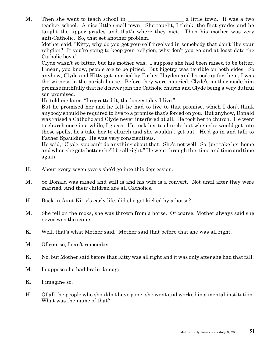M. Then she went to teach school in a little town. It was a two teacher school. A nice little small town. She taught, I think, the first grades and he taught the upper grades and that's where they met. Then his mother was very anti-Catholic. So, that set another problem.

Mother said, "Kitty, why do you get yourself involved in somebody that don't like your religion? If you're going to keep your religion, why don't you go and at least date the Catholic boys."

Clyde wasn't so bitter, but his mother was. I suppose she had been raised to be bitter. I mean, you know, people are to be pitied. But bigotry was terrible on both sides. So anyhow, Clyde and Kitty got married by Father Hayden and I stood up for them, I was the witness in the parish house. Before they were married, Clyde's mother made him promise faithfully that he'd never join the Catholic church and Clyde being a very dutiful son promised.

He told me later, "I regretted it, the longest day I live."

But he promised her and he felt he had to live to that promise, which I don't think anybody should be required to live to a promise that's forced on you. But anyhow, Donald was raised a Catholic and Clyde never interfered at all. He took her to church. He went to church once in a while, I guess. He took her to church, but when she would get into these spells, he's take her to church and she wouldn't get out. He'd go in and talk to Father Spaulding. He was very conscientious.

He said, "Clyde, you can't do anything about that. She's not well. So, just take her home and when she gets better she'll be all right." He went through this time and time and time again.

- H. About every seven years she'd go into this depression.
- M. So Donald was raised and still is and his wife is a convert. Not until after they were married. And their children are all Catholics.
- H. Back in Aunt Kitty's early life, did she get kicked by a horse?
- M. She fell on the rocks, she was thrown from a horse. Of course, Mother always said she never was the same.
- K. Well, that's what Mother said. Mother said that before that she was all right.
- M. Of course, I can't remember.
- K. No, but Mother said before that Kitty was all right and it was only after she had that fall.
- M. I suppose she had brain damage.
- K. I imagine so.
- H. Of all the people who shouldn't have gone, she went and worked in a mental institution. What was the name of that?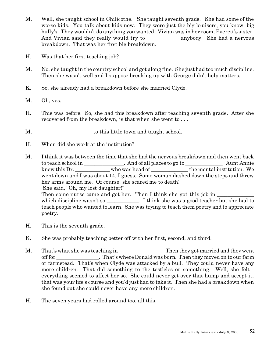- M. Well, she taught school in Chilicothe. She taught seventh grade. She had some of the worse kids. You talk about kids now. They were just the big bruisers, you know, big bully's. They wouldn't do anything you wanted. Vivian was in her room, Everett's sister. And Vivian said they really would try to anybody. She had a nervous breakdown. That was her first big breakdown.
- H. Was that her first teaching job?
- M. No, she taught in the country school and got along fine. She just had too much discipline. Then she wasn't well and I suppose breaking up with George didn't help matters.
- K. So, she already had a breakdown before she married Clyde.
- M. Oh, yes.
- H. This was before. So, she had this breakdown after teaching seventh grade. After she recovered from the breakdown, is that when she went to . . .
- M.  $\blacksquare$  to this little town and taught school.
- H. When did she work at the institution?
- M. I think it was between the time that she had the nervous breakdown and then went back to teach school in \_\_\_\_\_\_\_\_\_\_\_\_\_. And of all places to go to \_\_\_\_\_\_\_\_\_\_\_\_\_\_\_\_\_\_\_ Aunt Annie knew this Dr. \_\_\_\_\_\_\_\_\_\_\_\_\_ who was head of \_\_\_\_\_\_\_\_\_\_\_\_\_\_ the mental institution. We went down and I was about 14, I guess. Some woman dashed down the steps and threw her arms around me. Of course, she scared me to death! She said, "Oh, my lost daughter!" Then some nurse came and got her. Then I think she got this job in which discipline wasn't so \_\_\_\_\_\_\_\_\_\_\_. I think she was a good teacher but she had to teach people who wanted to learn. She was trying to teach them poetry and to appreciate poetry.
- H. This is the seventh grade.
- K. She was probably teaching better off with her first, second, and third.
- M. That's what she was teaching in Then they got married and they went off for That's where Donald was born. Then they moved on to our farm or farmstead. That's when Clyde was attacked by a bull. They could never have any more children. That did something to the testicles or something. Well, she felt everything seemed to affect her so. She could never get over that hump and accept it, that was your life's course and you'd just had to take it. Then she had a breakdown when she found out she could never have any more children.
- H. The seven years had rolled around too, all this.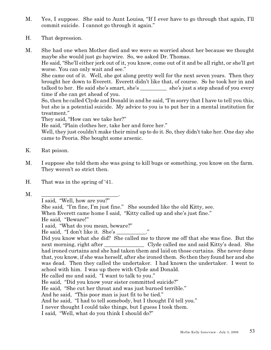- M. Yes, I suppose. She said to Aunt Louisa, "If I ever have to go through that again, I'll commit suicide. I cannot go through it again."
- H. That depression.

M. She had one when Mother died and we were so worried about her because we thought maybe she would just go haywire. So, we asked Dr. Thomas.

He said, "She'll either jerk out of it, you know, come out of it and be all right, or she'll get worse. You can only wait and see."

She came out of it. Well, she got along pretty well for the next seven years. Then they brought her down to Everett. Everett didn't like that, of course. So he took her in and talked to her. He said she's smart, she's she's she's just a step ahead of you every time if she can get ahead of you.

So, then he called Clyde and Donald in and he said, "I'm sorry that I have to tell you this, but she is a potential suicide. My advice to you is to put her in a mental institution for treatment."

They said, "How can we take her?"

He said, "Plain clothes her, take her and force her."

Well, they just couldn't make their mind up to do it. So, they didn't take her. One day she came to Peoria. She bought some arsenic.

- K. Rat poison.
- M. I suppose she told them she was going to kill bugs or something, you know on the farm. They weren't so strict then.
- H. That was in the spring of '41.
- M. \_\_\_\_\_\_\_\_\_\_\_\_\_\_\_\_\_\_\_\_\_\_\_\_\_\_\_\_\_.

I said, "Well, how are you?" She said, "I'm fine, I'm just fine." She sounded like the old Kitty, see. When Everett came home I said, "Kitty called up and she's just fine." He said, "Beware!" I said, "What do you mean, beware?" He said, "I don't like it. She's Did you know what she did? She called me to throw me off that she was fine. But the next morning, right after Clyde called me and said Kitty's dead. She had ironed curtains and she had taken them and laid on those curtains. She never done that, you know, if she was herself, after she ironed them. So then they found her and she was dead. Then they called the undertaker. I had known the undertaker. I went to school with him. I was up there with Clyde and Donald. He called me and said, "I want to talk to you." He said, "Did you know your sister committed suicide?" He said, "She cut her throat and was just burned terrible." And he said, "This poor man is just fit to be tied." And he said, "I had to tell somebody, but I thought I'd tell you." I never thought I could take things, but I guess I took them. I said, "Well, what do you think I should do?"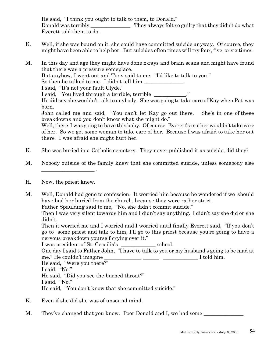He said, "I think you ought to talk to them, to Donald." Donald was terribly They always felt so guilty that they didn't do what Everett told them to do.

- K. Well, if she was bound on it, she could have committed suicide anyway. Of course, they might have been able to help her. But suicides often times will try four, five, or six times.
- M. In this day and age they might have done x-rays and brain scans and might have found that there was a pressure someplace.

But anyhow, I went out and Tony said to me, "I'd like to talk to you."

So then he talked to me. I didn't tell him

I said, "It's not your fault Clyde."

I said, "You lived through a terrible, terrible \_\_\_\_\_\_\_\_\_\_\_."

He did say she wouldn't talk to anybody. She was going to take care of Kay when Pat was born.

John called me and said, "You can't let Kay go out there. She's in one of these breakdowns and you don't know what she might do."

Well, there I was going to have this baby. Of course, Everett's mother wouldn't take care of her. So we got some woman to take care of her. Because I was afraid to take her out there. I was afraid she might hurt her.

- K. She was buried in a Catholic cemetery. They never published it as suicide, did they?
- M. Nobody outside of the family knew that she committed suicide, unless somebody else
- H. Now, the priest knew.

 $\frac{1}{2}$  . The set of the set of the set of the set of the set of the set of the set of the set of the set of the set of the set of the set of the set of the set of the set of the set of the set of the set of the set of

M. Well, Donald had gone to confession. It worried him because he wondered if we should have had her buried from the church, because they were rather strict. Father Spaulding said to me, "No, she didn't commit suicide."

Then I was very silent towards him and I didn't say anything. I didn't say she did or she didn't.

Then it worried me and I worried and I worried until finally Everett said, "If you don't go to some priest and talk to him, I'll go to this priest because you're going to have a nervous breakdown yourself crying over it."

I was president of St. Ceceilia's \_\_\_\_\_\_\_\_\_\_\_\_\_ school. One day I said to Father John, "I have to talk to you or my husband's going to be mad at me." He couldn't imagine The same state of  $\mathbf I$  told him. He said, "Were you there?" I said, "No." He said, "Did you see the burned throat?" I said. "No." He said, "You don't know that she committed suicide."

- K. Even if she did she was of unsound mind.
- M. They've changed that you know. Poor Donald and I, we had some \_\_\_\_\_\_\_\_\_\_\_\_\_\_\_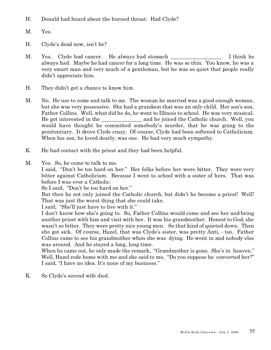- H. Donald had heard about the burned throat. Had Clyde?
- M. Yes.
- H. Clyde's dead now, isn't he?
- M. Yes. Clyde had cancer. He always had stomach and  $\blacksquare$ . I think he always had. Maybe he had cancer for a long time. He was so thin. You know, he was a very smart man and very much of a gentleman, but he was so quiet that people really didn't appreciate him.
- H. They didn't get a chance to know him.
- M. No. He use to come and talk to me. The woman he married was a good enough woman, but she was very possessive. She had a grandson that was an only child. Her son's son, Father Collins. Well, what did he do, he went to Illinois to school. He was very musical. He got interested in the and he joined the Catholic church. Well, you would have thought he committed somebody's murder, that he was going to the penitentiary. It drove Clyde crazy. Of course, Clyde had been softened to Catholicism. When his son, he loved dearly, was one. He had very much sympathy.
- K. He had contact with the priest and they had been helpful.
- M. Yes. So, he come to talk to me.

I said, "Don't be too hard on her." Her folks before her were bitter. They were very bitter against Catholicism. Because I went to school with a sister of hers. That was before I was ever a Catholic.

So I said, "Don't be too hard on her."

But then he not only joined the Catholic church, but didn't he become a priest! Well! That was just the worst thing that she could take.

I said, "She'll just have to live with it."

I don't know how she's going to. So, Father Collins would come and see her and bring another priest with him and visit with her. It was his grandmother. Honest to God, she wasn't so bitter. They were pretty nice young men. So that kind of quieted down. Then she got sick. Of course, Hazel, that was Clyde's sister, was pretty Anti, - too. Father Collins came to see his grandmother when she was dying. He went in and nobody else was around. And he stayed a long, long time.

When he came out, he only made the remark, "Grandmother is gone. She's in heaven." Well, Hazel rode home with me and she said to me, "Do you suppose he converted her?" I said, "I have no idea. It's none of my business."

K. So Clyde's second wife died.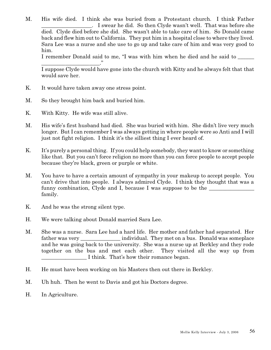M. His wife died. I think she was buried from a Protestant church. I think Father \_\_\_\_\_\_\_\_\_\_\_\_\_\_\_\_\_\_\_. I swear he did. So then Clyde wasn't well. That was before she died. Clyde died before she did. She wasn't able to take care of him. So Donald came back and flew him out to California. They put him in a hospital close to where they lived. Sara Lee was a nurse and she use to go up and take care of him and was very good to him.

I remember Donald said to me, "I was with him when he died and he said to

\_\_\_\_\_\_\_\_\_\_\_\_\_\_\_\_\_\_\_\_\_\_." I suppose Clyde would have gone into the church with Kitty and he always felt that that would save her.

- K. It would have taken away one stress point.
- M. So they brought him back and buried him.
- K. With Kitty. He wife was still alive.
- M. His wife's first husband had died. She was buried with him. She didn't live very much longer. But I can remember I was always getting in where people were so Anti and I will just not fight religion. I think it's the silliest thing I ever heard of.
- K. It's purely a personal thing. If you could help somebody, they want to know or something like that. But you can't force religion no more than you can force people to accept people because they're black, green or purple or white.
- M. You have to have a certain amount of sympathy in your makeup to accept people. You can't drive that into people. I always admired Clyde. I think they thought that was a funny combination, Clyde and I, because I was suppose to be the family.
- K. And he was the strong silent type.
- H. We were talking about Donald married Sara Lee.
- M. She was a nurse. Sara Lee had a hard life. Her mother and father had separated. Her father was very \_\_\_\_\_\_\_\_\_\_\_\_\_\_\_ individual. They met on a bus. Donald was someplace and he was going back to the university. She was a nurse up at Berkley and they rode together on the bus and met each other. They visited all the way up from I think. That's how their romance began.
- H. He must have been working on his Masters then out there in Berkley.
- M. Uh huh. Then he went to Davis and got his Doctors degree.
- H. In Agriculture.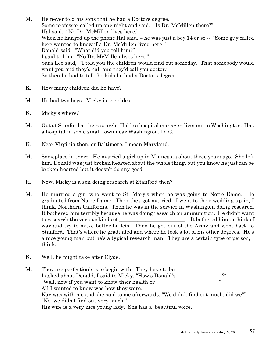- M. He never told his sons that he had a Doctors degree. Some professor called up one night and said, "Is Dr. McMillen there?" Hal said, "No Dr. McMillen lives here." When he hanged up the phone Hal said, -- he was just a boy 14 or so -- "Some guy called" here wanted to know if a Dr. McMillen lived here." Donald said, "What did you tell him?" I said to him, "No Dr. McMillen lives here." Sara Lee said, "I told you the children would find out someday. That somebody would want you and they'd call and they'd call you doctor." So then he had to tell the kids he had a Doctors degree.
- K. How many children did he have?
- M. He had two boys. Micky is the oldest.
- K. Micky's where?
- M. Out at Stanford at the research. Hal is a hospital manager, lives out in Washington. Has a hospital in some small town near Washington, D. C.
- K. Near Virginia then, or Baltimore, I mean Maryland.
- M. Someplace in there. He married a girl up in Minnesota about three years ago. She left him. Donald was just broken hearted about the whole thing, but you know he just can be broken hearted but it doesn't do any good.
- H. Now, Micky is a son doing research at Stanford then?
- M. He married a girl who went to St. Mary's when he was going to Notre Dame. He graduated from Notre Dame. Then they got married. I went to their wedding up in, I think, Northern California. Then he was in the service in Washington doing research. It bothered him terribly because he was doing research on ammunition. He didn't want to research the various kinds of  $\qquad \qquad$  It bothered him to think of war and try to make better bullets. Then he got out of the Army and went back to Stanford. That's where he graduated and where he took a lot of his other degrees. He's a nice young man but he's a typical research man. They are a certain type of person, I think.
- K. Well, he might take after Clyde.
- M. They are perfectionists to begin with. They have to be. I asked about Donald, I said to Micky, "How's Donald's "Well, now if you want to know their health or All I wanted to know was how they were. Kay was with me and she said to me afterwards, "We didn't find out much, did we?" "No, we didn't find out very much." His wife is a very nice young lady. She has a beautiful voice.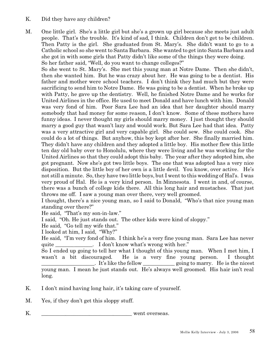- K. Did they have any children?
- M. One little girl. She's a little girl but she's a grown up girl because she meets just adult people. That's the trouble. It's kind of sad, I think. Children don't get to be children. Then Patty is the girl. She graduated from St. Mary's. She didn't want to go to a Catholic school so she went to Santa Barbara. She wanted to get into Santa Barbara and she got in with some girls that Patty didn't like some of the things they were doing. So her father said, "Well, do you want to change colleges?"

So she went to St. Mary's. She met this young man at Notre Dame. Then she didn't, then she wanted him. But he was crazy about her. He was going to be a dentist. His father and mother were school teachers. I don't think they had much but they were sacrificing to send him to Notre Dame. He was going to be a dentist. When he broke up with Patty, he gave up the dentistry. Well, he finished Notre Dame and he works for United Airlines in the office. He used to meet Donald and have lunch with him. Donald was very fond of him. Poor Sara Lee had an idea that her daughter should marry somebody that had money for some reason, I don't know. Some of these mothers have funny ideas. I never thought my girls should marry money. I just thought they should marry a good guy that wasn't lazy and would work. But Sara Lee had that idea. Patty was a very attractive girl and very capable girl. She could sew. She could cook. She could do a lot of things. But anyhow, this boy kept after her. She finally married him. They didn't have any children and they adopted a little boy. His mother flew this little ten day old baby over to Honolulu, where they were living and he was working for the United Airlines so that they could adopt this baby. The year after they adopted him, she got pregnant. Now she's got two little boys. The one that was adopted has a very nice disposition. But the little boy of her own is a little devil. You know, over active. He's not still a minute. So, they have two little boys, but I went to this wedding of Hal's. I was very proud of Hal. He is a very kind person. In Minnesota. I went in and, of course, there was a bunch of college kids there. All this long hair and mustaches. That just throws me off. I saw a young man over there, very well groomed.

I thought, there's a nice young man, so I said to Donald, "Who's that nice young man standing over there?"

He said, "That's my son-in-law."

I said, "Oh. He just stands out. The other kids were kind of sloppy."

He said, "Go tell my wife that."

I looked at him, I said, "Why?"

He said, "I'm very fond of him. I think he's a very fine young man. Sara Lee has never quite Theorem Controller is a left of the local don't know what's wrong with her."

So I ended up going to tell her what I thought of this young man. When I met him, I wasn't a bit discouraged. He is a very fine young person. I thought \_\_\_\_\_\_\_\_\_\_\_\_\_\_\_\_\_\_\_\_. It's like the fellow \_\_\_\_\_\_\_\_\_\_\_\_ going to marry. He is the nicest young man. I mean he just stands out. He's always well groomed. His hair isn't real long.

- K. I don't mind having long hair, it's taking care of yourself.
- M. Yes, if they don't get this sloppy stuff.

K. \_\_\_\_\_\_\_\_\_\_\_\_\_\_\_\_\_\_\_\_\_\_\_\_\_\_\_\_\_\_\_\_\_\_ went overseas.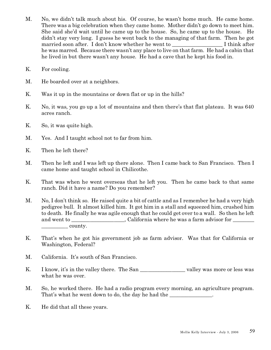- M. No, we didn't talk much about his. Of course, he wasn't home much. He came home. There was a big celebration when they came home. Mother didn't go down to meet him. She said she'd wait until he came up to the house. So, he came up to the house. He didn't stay very long. I guess he went back to the managing of that farm. Then he got married soon after. I don't know whether he went to T think after he was marred. Because there wasn't any place to live on that farm. He had a cabin that he lived in but there wasn't any house. He had a cave that he kept his food in.
- K. For cooling.
- M. He boarded over at a neighbors.
- K. Was it up in the mountains or down flat or up in the hills?
- K. No, it was, you go up a lot of mountains and then there's that flat plateau. It was 640 acres ranch.
- K. So, it was quite high.
- M. Yes. And I taught school not to far from him.
- K. Then he left there?
- M. Then he left and I was left up there alone. Then I came back to San Francisco. Then I came home and taught school in Chilicothe.
- K. That was when he went overseas that he left you. Then he came back to that same ranch. Did it have a name? Do you remember?
- M. No, I don't think so. He raised quite a bit of cattle and as I remember he had a very high pedigree bull. It almost killed him. It got him in a stall and squeezed him, crushed him to death. He finally he was agile enough that he could get over to a wall. So then he left and went to electronic california where he was a farm advisor for  $\frac{1}{\sqrt{1-\frac{1}{\sqrt{1-\frac{1}{\sqrt{1-\frac{1}{\sqrt{1-\frac{1}{\sqrt{1-\frac{1}{\sqrt{1-\frac{1}{\sqrt{1-\frac{1}{\sqrt{1-\frac{1}{\sqrt{1-\frac{1}{\sqrt{1-\frac{1}{\sqrt{1-\frac{1}{\sqrt{1-\frac{1}{\sqrt{1-\frac{1}{\sqrt{1-\frac{1}{\sqrt{1-\frac{1}{\sqrt{1-\frac{1}{\sqrt{1-\frac{1}{\sqrt{1-\frac{1}{\sqrt{1-\frac{1}{\sqrt{1-\frac{1}{\sqrt{1-\frac{1}{\sqrt{1-\frac{1}{\sqrt{1-\frac{1}{\sqrt{1-\frac{1$
- K. That's when he got his government job as farm advisor. Was that for California or Washington, Federal?
- M. California. It's south of San Francisco.
- K. I know, it's in the valley there. The San valley was more or less was what he was over.
- M. So, he worked there. He had a radio program every morning, an agriculture program. That's what he went down to do, the day he had the  $\qquad \qquad$ .
- K. He did that all these years.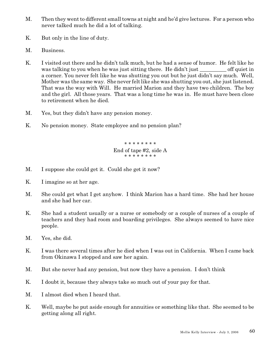- M. Then they went to different small towns at night and he'd give lectures. For a person who never talked much he did a lot of talking.
- K. But only in the line of duty.
- M. Business.
- K. I visited out there and he didn't talk much, but he had a sense of humor. He felt like he was talking to you when he was just sitting there. He didn't just off quiet in a corner. You never felt like he was shutting you out but he just didn't say much. Well, Mother was the same way. She never felt like she was shutting you out, she just listened. That was the way with Will. He married Marion and they have two children. The boy and the girl. All those years. That was a long time he was in. He must have been close to retirement when he died.
- M. Yes, but they didn't have any pension money.
- K. No pension money. State employee and no pension plan?

\* \* \* \* \* \* \* \* End of tape #2, side A \* \* \* \* \* \* \* \*

- M. I suppose she could get it. Could she get it now?
- K. I imagine so at her age.
- M. She could get what I get anyhow. I think Marion has a hard time. She had her house and she had her car.
- K. She had a student usually or a nurse or somebody or a couple of nurses of a couple of teachers and they had room and boarding privileges. She always seemed to have nice people.
- M. Yes, she did.
- K. I was there several times after he died when I was out in California. When I came back from Okinawa I stopped and saw her again.
- M. But she never had any pension, but now they have a pension. I don't think
- K. I doubt it, because they always take so much out of your pay for that.
- M. I almost died when I heard that.
- K. Well, maybe he put aside enough for annuities or something like that. She seemed to be getting along all right.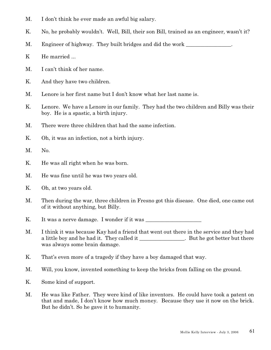- M. I don't think he ever made an awful big salary.
- K. No, he probably wouldn't. Well, Bill, their son Bill, trained as an engineer, wasn't it?
- M. Engineer of highway. They built bridges and did the work
- K He married ...
- M. I can't think of her name.
- K. And they have two children.
- M. Lenore is her first name but I don't know what her last name is.
- K. Lenore. We have a Lenore in our family. They had the two children and Billy was their boy. He is a spastic, a birth injury.
- M. There were three children that had the same infection.
- K. Oh, it was an infection, not a birth injury.
- M. No.
- K. He was all right when he was born.
- M. He was fine until he was two years old.
- K. Oh, at two years old.
- M. Then during the war, three children in Fresno got this disease. One died, one came out of it without anything, but Billy.
- K. It was a nerve damage. I wonder if it was
- M. I think it was because Kay had a friend that went out there in the service and they had a little boy and he had it. They called it \_\_\_\_\_\_\_\_\_\_\_\_\_\_\_\_\_. But he got better but there was always some brain damage.
- K. That's even more of a tragedy if they have a boy damaged that way.
- M. Will, you know, invented something to keep the bricks from falling on the ground.
- K. Some kind of support.
- M. He was like Father. They were kind of like inventors. He could have took a patent on that and made, I don't know how much money. Because they use it now on the brick. But he didn't. So he gave it to humanity.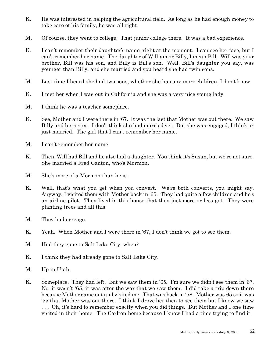- K. He was interested in helping the agricultural field. As long as he had enough money to take care of his family, he was all right.
- M. Of course, they went to college. That junior college there. It was a bad experience.
- K. I can't remember their daughter's name, right at the moment. I can see her face, but I can't remember her name. The daughter of William or Billy, I mean Bill. Will was your brother, Bill was his son, and Billy is Bill's son. Well, Bill's daughter you say, was younger than Billy, and she married and you heard she had twin sons.
- M. Last time I heard she had two sons, whether she has any more children, I don't know.
- K. I met her when I was out in California and she was a very nice young lady.
- M. I think he was a teacher someplace.
- K. See, Mother and I were there in '67. It was the last that Mother was out there. We saw Billy and his sister. I don't think she had married yet. But she was engaged, I think or just married. The girl that I can't remember her name.
- M. I can't remember her name.
- K. Then, Will had Bill and he also had a daughter. You think it's Susan, but we're not sure. She married a Fred Canton, who's Mormon.
- M. She's more of a Mormon than he is.
- K. Well, that's what you get when you convert. We're both converts, you might say. Anyway, I visited them with Mother back in '65. They had quite a few children and he's an airline pilot. They lived in this house that they just more or less got. They were planting trees and all this.
- M. They had acreage.
- K. Yeah. When Mother and I were there in '67, I don't think we got to see them.
- M. Had they gone to Salt Lake City, when?
- K. I think they had already gone to Salt Lake City.
- M. Up in Utah.
- K. Someplace. They had left. But we saw them in '65. I'm sure we didn't see them in '67. No, it wasn't '65, it was after the war that we saw them. I did take a trip down there because Mother came out and visited me. That was back in '58. Mother was 65 so it was '55 that Mother was out there. I think I drove her then to see them but I know we saw . . . Oh, it's hard to remember exactly when you did things. But Mother and I one time visited in their home. The Carlton home because I know I had a time trying to find it.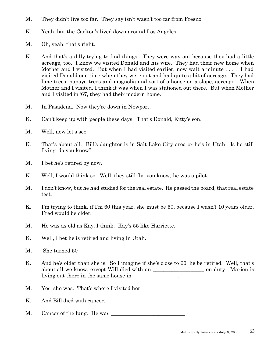- M. They didn't live too far. They say isn't wasn't too far from Fresno.
- K. Yeah, but the Carlton's lived down around Los Angeles.
- M. Oh, yeah, that's right.
- K. And that's a dilly trying to find things. They were way out because they had a little acreage, too. I know we visited Donald and his wife. They had their new home when Mother and I visited. But when I had visited earlier, now wait a minute . . . . I had visited Donald one time when they were out and had quite a bit of acreage. They had lime trees, papaya trees and magnolia and sort of a house on a slope, acreage. When Mother and I visited, I think it was when I was stationed out there. But when Mother and I visited in '67, they had their modern home.
- M. In Pasadena. Now they're down in Newport.
- K. Can't keep up with people these days. That's Donald, Kitty's son.
- M. Well, now let's see.
- K. That's about all. Bill's daughter is in Salt Lake City area or he's in Utah. Is he still flying, do you know?
- M. I bet he's retired by now.
- K. Well, I would think so. Well, they still fly, you know, he was a pilot.
- M. I don't know, but he had studied for the real estate. He passed the board, that real estate test.
- K. I'm trying to think, if I'm 60 this year, she must be 50, because I wasn't 10 years older. Fred would be older.
- M. He was as old as Kay, I think. Kay's 55 like Harriette.
- K. Well, I bet he is retired and living in Utah.
- M. She turned 50
- K. And he's older than she is. So I imagine if she's close to 60, he be retired. Well, that's about all we know, except Will died with an \_\_\_\_\_\_\_\_\_\_\_\_\_\_\_\_\_\_\_ on duty. Marion is living out there in the same house in  $\cdot$ .
- M. Yes, she was. That's where I visited her.
- K. And Bill died with cancer.
- M. Cancer of the lung. He was \_\_\_\_\_\_\_\_\_\_\_\_\_\_\_\_\_\_\_\_\_\_\_\_\_\_\_\_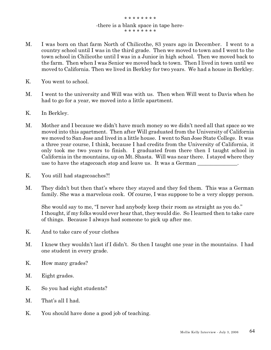## \* \* \* \* \* \* \* \* -there is a blank space in tape here- \* \* \* \* \* \* \* \*

- M. I was born on that farm North of Chilicothe, 83 years ago in December. I went to a country school until I was in the third grade. Then we moved to town and I went to the town school in Chilicothe until I was in a Junior in high school. Then we moved back to the farm. Then when I was Senior we moved back to town. Then I lived in town until we moved to California. Then we lived in Berkley for two years. We had a house in Berkley.
- K. You went to school.
- M. I went to the university and Will was with us. Then when Will went to Davis when he had to go for a year, we moved into a little apartment.
- K. In Berkley.
- M. Mother and I because we didn't have much money so we didn't need all that space so we moved into this apartment. Then after Will graduated from the University of California we moved to San Jose and lived in a little house. I went to San Jose State College. It was a three year course, I think, because I had credits from the University of California, it only took me two years to finish. I graduated from there then I taught school in California in the mountains, up on Mt. Shasta. Will was near there. I stayed where they use to have the stagecoach stop and leave us. It was a German
- K. You still had stagecoaches?!
- M. They didn't but then that's where they stayed and they fed them. This was a German family. She was a marvelous cook. Of course, I was suppose to be a very sloppy person.

She would say to me, "I never had anybody keep their room as straight as you do." I thought, if my folks would ever hear that, they would die. So I learned then to take care of things. Because I always had someone to pick up after me.

- K. And to take care of your clothes
- M. I knew they wouldn't last if I didn't. So then I taught one year in the mountains. I had one student in every grade.
- K. How many grades?
- M. Eight grades.
- K. So you had eight students?
- M. That's all I had.
- K. You should have done a good job of teaching.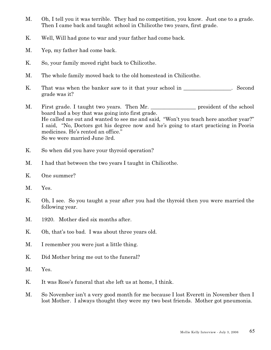- M. Oh, I tell you it was terrible. They had no competition, you know. Just one to a grade. Then I came back and taught school in Chilicothe two years, first grade.
- K. Well, Will had gone to war and your father had come back.
- M. Yep, my father had come back.
- K. So, your family moved right back to Chilicothe.
- M. The whole family moved back to the old homestead in Chilicothe.
- K. That was when the banker saw to it that your school in \_\_\_\_\_\_\_\_\_\_\_\_\_\_. Second grade was it?
- M. First grade. I taught two years. Then Mr. \_\_\_\_\_\_\_\_\_\_\_\_\_\_\_\_\_\_\_\_ president of the school board had a boy that was going into first grade. He called me out and wanted to see me and said, "Won't you teach here another year?" I said, "No, Doctors got his degree now and he's going to start practicing in Peoria medicines. He's rented an office." So we were married June 3rd.
- K. So when did you have your thyroid operation?
- M. I had that between the two years I taught in Chilicothe.
- K. One summer?
- M. Yes.
- K. Oh, I see. So you taught a year after you had the thyroid then you were married the following year.
- M. 1920. Mother died six months after.
- K. Oh, that's too bad. I was about three years old.
- M. I remember you were just a little thing.
- K. Did Mother bring me out to the funeral?
- M. Yes.
- K. It was Rose's funeral that she left us at home, I think.
- M. So November isn't a very good month for me because I lost Everett in November then I lost Mother. I always thought they were my two best friends. Mother got pneumonia.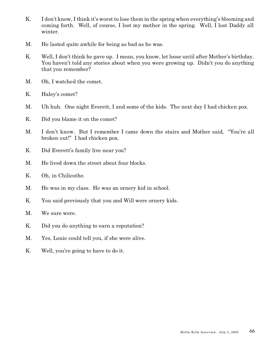- K. I don't know, I think it's worst to lose them in the spring when everything's blooming and coming forth. Well, of course, I lost my mother in the spring. Well, I lost Daddy all winter.
- M. He lasted quite awhile for being as bad as he was.
- K. Well, I don't think he gave up. I mean, you know, let loose until after Mother's birthday. You haven't told any stories about when you were growing up. Didn't you do anything that you remember?
- M. Oh, I watched the comet.
- K. Haley's comet?
- M. Uh huh. One night Everett, I and some of the kids. The next day I had chicken pox.
- K. Did you blame it on the comet?
- M. I don't know. But I remember I came down the stairs and Mother said, "You're all broken out!" I had chicken pox.
- K. Did Everett's family live near you?
- M. He lived down the street about four blocks.
- K. Oh, in Chilicothe.
- M. He was in my class. He was an ornery kid in school.
- K. You said previously that you and Will were ornery kids.
- M. We sure were.
- K. Did you do anything to earn a reputation?
- M. Yes, Louie could tell you, if she were alive.
- K. Well, you're going to have to do it.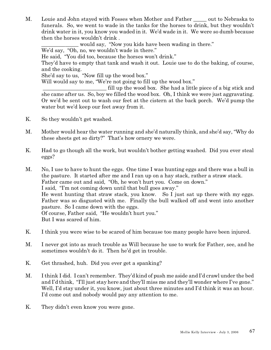M. Louie and John stayed with Fosses when Mother and Father \_\_\_\_\_ out to Nebraska to funerals. So, we went to wade in the tanks for the horses to drink, but they wouldn't drink water in it, you know you waded in it. We'd wade in it. We were so dumb because then the horses wouldn't drink .

would say, "Now you kids have been wading in there." We'd say, "Oh, no, we wouldn't wade in there." He said, "You did too, because the horses won't drink." They'd have to empty that tank and wash it out. Louie use to do the baking, of course, and the cooking. She'd say to us, "Now fill up the wood box." Will would say to me, "We're not going to fill up the wood box." fill up the wood box. She had a little piece of a big stick and she came after us. So, boy we filled the wood box. Oh, I think we were just aggravating.

Or we'd be sent out to wash our feet at the cistern at the back porch. We'd pump the

K. So they wouldn't get washed.

water but we'd keep our feet away from it.

- M. Mother would hear the water running and she'd naturally think, and she'd say, "Why do these sheets get so dirty?" That's how ornery we were.
- K. Had to go though all the work, but wouldn't bother getting washed. Did you ever steal eggs?

M. No, I use to have to hunt the eggs. One time I was hunting eggs and there was a bull in the pasture. It started after me and I ran up on a hay stack, rather a straw stack. Father came out and said, "Oh, he won't hurt you. Come on down." I said, "I'm not coming down until that bull goes away." He went hunting that straw stack, you know. So I just sat up there with my eggs. Father was so disgusted with me. Finally the bull walked off and went into another pasture. So I came down with the eggs. Of course, Father said, "He wouldn't hurt you." But I was scared of him.

- K. I think you were wise to be scared of him because too many people have been injured.
- M. I never got into as much trouble as Will because he use to work for Father, see, and he sometimes wouldn't do it. Then he'd get in trouble.
- K. Get thrashed, huh. Did you ever get a spanking?
- M. I think I did. I can't remember. They'd kind of push me aside and I'd crawl under the bed and I'd think, "I'll just stay here and they'll miss me and they'll wonder where I've gone." Well, I'd stay under it, you know, just about three minutes and I'd think it was an hour. I'd come out and nobody would pay any attention to me.
- K. They didn't even know you were gone.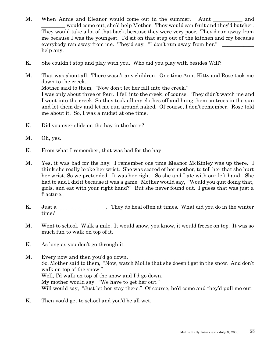- M. When Annie and Eleanor would come out in the summer. Aunt and would come out, she'd help Mother. They would can fruit and they'd butcher. They would take a lot of that back, because they were very poor. They'd run away from me because I was the youngest. I'd sit on that step out of the kitchen and cry because everybody ran away from me. They'd say, "I don't run away from her." help any.
- K. She couldn't stop and play with you. Who did you play with besides Will?
- M. That was about all. There wasn't any children. One time Aunt Kitty and Rose took me down to the creek. Mother said to them, "Now don't let her fall into the creek." I was only about three or four. I fell into the creek, of course. They didn't watch me and I went into the creek. So they took all my clothes off and hung them on trees in the sun and let them dry and let me run around naked. Of course, I don't remember. Rose told me about it. So, I was a nudist at one time.
- K. Did you ever slide on the hay in the barn?
- M. Oh, yes.
- K. From what I remember, that was bad for the hay.
- M. Yes, it was bad for the hay. I remember one time Eleanor McKinley was up there. I think she really broke her wrist. She was scared of her mother, to tell her that she hurt her wrist. So we pretended. It was her right. So she and I ate with our left hand. She had to and I did it because it was a game. Mother would say, "Would you quit doing that, girls, and eat with your right hand?" But she never found out. I guess that was just a fracture.
- K. Just a \_\_\_\_\_\_\_\_\_\_\_\_\_\_. They do heal often at times. What did you do in the winter time?
- M. Went to school. Walk a mile. It would snow, you know, it would freeze on top. It was so much fun to walk on top of it.
- K. As long as you don't go through it.
- M. Every now and then you'd go down. So, Mother said to them, "Now, watch Mollie that she doesn't get in the snow. And don't walk on top of the snow." Well, I'd walk on top of the snow and I'd go down. My mother would say, "We have to get her out." Will would say, "Just let her stay there." Of course, he'd come and they'd pull me out.
- K. Then you'd get to school and you'd be all wet.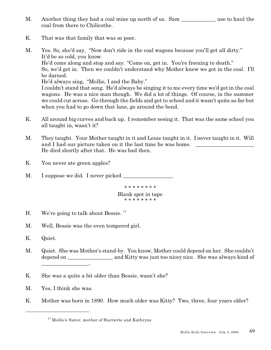- M. Another thing they had a coal mine up north of us. Sam use to haul the coal from there to Chilicothe.
- K. That was that family that was so poor.
- M. Yes. So, she'd say, "Now don't ride in the coal wagons because you'll get all dirty." It'd be so cold, you know. He'd come along and stop and say. "Come on, get in. You're freezing to death." So, we'd get in. Then we couldn't understand why Mother knew we got in the coal. I'll be darned. He'd always sing, "Mollie, I and the Baby." I couldn't stand that song. He'd always be singing it to me every time we'd get in the coal wagons. He was a nice man though. We did a lot of things. Of course, in the summer we could cut across. Go through the fields and get to school and it wasn't quite as far but when you had to go down that lane, go around the bend.
- K. All around big curves and back up. I remember seeing it. That was the same school you all taught in, wasn't it?
- M. They taught. Your Mother taught in it and Louie taught in it. I never taught in it. Will and I had our picture taken on it the last time he was home. He died shortly after that. He was bad then.
- K. You never ate green apples?
- M. I suppose we did. I never picked

\* \* \* \* \* \* \* \* Blank spot in tape \* \* \* \* \* \* \* \*

- H. We're going to talk about Bessie.<sup>17</sup>
- M. Well, Bessie was the even tempered girl.
- K. Quiet.
- M. Quiet. She was Mother's stand-by. You know, Mother could depend on her. She couldn't depend on \_\_\_\_\_\_\_\_\_\_\_\_\_\_\_\_\_ and Kitty was just too nicey nice. She was always kind of \_\_\_\_\_\_\_\_\_\_\_\_\_\_\_\_\_\_.
- K. She was a quite a bit older than Bessie, wasn't she?
- M. Yes, I think she was.
- K. Mother was born in 1890. How much older was Kitty? Two, three, four years older?

<sup>&</sup>lt;sup>17</sup> Mollie's Sister, mother of Harriette and Kathryne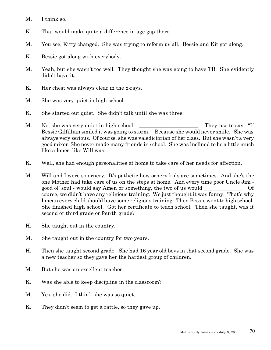- M. I think so.
- K. That would make quite a difference in age gap there.
- M. You see, Kitty changed. She was trying to reform us all. Bessie and Kit got along.
- K. Bessie got along with everybody.
- M. Yeah, but she wasn't too well. They thought she was going to have TB. She evidently didn't have it.
- K. Her chest was always clear in the x-rays.
- M. She was very quiet in high school.
- K. She started out quiet. She didn't talk until she was three.
- M. No, she was very quiet in high school. They use to say, "If Bessie Gilfillian smiled it was going to storm." Because she would never smile. She was always very serious. Of course, she was valedictorian of her class. But she wasn't a very good mixer. She never made many friends in school. She was inclined to be a little much like a loner, like Will was.
- K. Well, she had enough personalities at home to take care of her needs for affection.
- M. Will and I were so ornery. It's pathetic how ornery kids are sometimes. And she's the one Mother had take care of us on the steps at home. And every time poor Uncle Jim good ol' soul - would say Amen or something, the two of us would \_\_\_\_\_\_\_\_\_\_\_\_\_\_ . Of course, we didn't have any religious training. We just thought it was funny. That's why I mean every child should have some religious training. Then Bessie went to high school. She finished high school. Got her certificate to teach school. Then she taught, was it second or third grade or fourth grade?
- H. She taught out in the country.
- M. She taught out in the country for two years.
- H. Then she taught second grade. She had 16 year old boys in that second grade. She was a new teacher so they gave her the hardest group of children.
- M. But she was an excellent teacher.
- K. Was she able to keep discipline in the classroom?
- M. Yes, she did. I think she was so quiet.
- K. They didn't seem to get a rattle, so they gave up.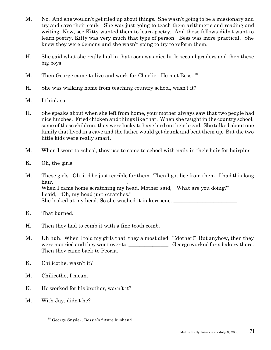- M. No. And she wouldn't get riled up about things. She wasn't going to be a missionary and try and save their souls. She was just going to teach them arithmetic and reading and writing. Now, see Kitty wanted them to learn poetry. And those fellows didn't want to learn poetry. Kitty was very much that type of person. Bess was more practical. She knew they were demons and she wasn't going to try to reform them.
- H. She said what she really had in that room was nice little second graders and then these big boys.
- M. Then George came to live and work for Charlie. He met Bess.<sup>18</sup>
- H. She was walking home from teaching country school, wasn't it?
- M. I think so.
- H. She speaks about when she left from home, your mother always saw that two people had nice lunches. Fried chicken and things like that. When she taught in the country school, some of these children, they were lucky to have lard on their bread. She talked about one family that lived in a cave and the father would get drunk and beat them up. But the two little kids were really smart.
- M. When I went to school, they use to come to school with nails in their hair for hairpins.
- K. Oh, the girls.
- M. These girls. Oh, it'd be just terrible for them. Then I got lice from them. I had this long hair. When I came home scratching my head, Mother said, "What are you doing?" I said, "Oh, my head just scratches." She looked at my head. So she washed it in kerosene.
- K. That burned.
- H. Then they had to comb it with a fine tooth comb.
- M. Uh huh. When I told my girls that, they almost died. "Mother!" But anyhow, then they were married and they went over to George worked for a bakery there. Then they came back to Peoria.
- K. Chilicothe, wasn't it?
- M. Chilicothe, I mean.
- K. He worked for his brother, wasn't it?
- M. With Jay, didn't he?

<sup>18</sup> George Snyder, Bessie's future husband.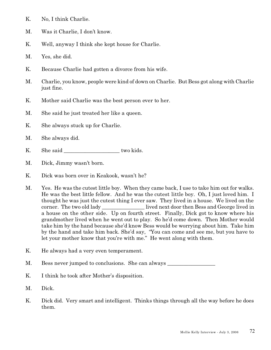- K. No, I think Charlie.
- M. Was it Charlie, I don't know.
- K. Well, anyway I think she kept house for Charlie.
- M. Yes, she did.
- K. Because Charlie had gotten a divorce from his wife.
- M. Charlie, you know, people were kind of down on Charlie. But Bess got along with Charlie just fine.
- K. Mother said Charlie was the best person ever to her.
- M. She said he just treated her like a queen.
- K. She always stuck up for Charlie.
- M. She always did.
- K. She said \_\_\_\_\_\_\_\_\_\_\_\_\_\_\_\_\_\_\_\_\_ two kids.
- M. Dick, Jimmy wasn't born.
- K. Dick was born over in Keakook, wasn't he?
- M. Yes. He was the cutest little boy. When they came back, I use to take him out for walks. He was the best little fellow. And he was the cutest little boy. Oh, I just loved him. I thought he was just the cutest thing I ever saw. They lived in a house. We lived on the corner. The two old lady \_\_\_\_\_\_\_\_\_\_\_\_\_\_\_\_ lived next door then Bess and George lived in a house on the other side. Up on fourth street. Finally, Dick got to know where his grandmother lived when he went out to play. So he'd come down. Then Mother would take him by the hand because she'd know Bess would be worrying about him. Take him by the hand and take him back. She'd say, "You can come and see me, but you have to let your mother know that you're with me." He went along with them.
- K. He always had a very even temperament.
- M. Bess never jumped to conclusions. She can always
- K. I think he took after Mother's disposition.
- M. Dick.
- K. Dick did. Very smart and intelligent. Thinks things through all the way before he does them.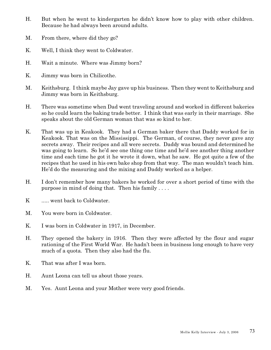- H. But when he went to kindergarten he didn't know how to play with other children. Because he had always been around adults.
- M. From there, where did they go?
- K. Well, I think they went to Coldwater.
- H. Wait a minute. Where was Jimmy born?
- K. Jimmy was born in Chilicothe.
- M. Keithsburg. I think maybe Jay gave up his business. Then they went to Keithsburg and Jimmy was born in Keithsburg.
- H. There was sometime when Dad went traveling around and worked in different bakeries so he could learn the baking trade better. I think that was early in their marriage. She speaks about the old German woman that was so kind to her.
- K. That was up in Keakook. They had a German baker there that Daddy worked for in Keakook. That was on the Mississippi. The German, of course, they never gave any secrets away. Their recipes and all were secrets. Daddy was bound and determined he was going to learn. So he'd see one thing one time and he'd see another thing another time and each time he got it he wrote it down, what he saw. He got quite a few of the recipes that he used in his own bake shop from that way. The man wouldn't teach him. He'd do the measuring and the mixing and Daddy worked as a helper.
- H. I don't remember how many bakers he worked for over a short period of time with the purpose in mind of doing that. Then his family . . . .
- K ..... went back to Coldwater.
- M. You were born in Coldwater.
- K. I was born in Coldwater in 1917, in December.
- H. They opened the bakery in 1916. Then they were affected by the flour and sugar rationing of the First World War. He hadn't been in business long enough to have very much of a quota. Then they also had the flu.
- K. That was after I was born.
- H. Aunt Leona can tell us about those years.
- M. Yes. Aunt Leona and your Mother were very good friends.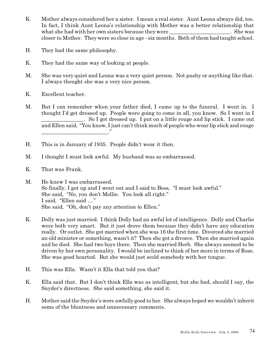- K. Mother always considered her a sister. I mean a real sister. Aunt Leona always did, too. In fact, I think Aunt Leona's relationship with Mother was a better relationship that what she had with her own sisters because they were  $\Box$ . She was closer to Mother. They were so close in age - six months. Both of them had taught school.
- H. They had the same philosophy.
- K. They had the same way of looking at people.
- M. She was very quiet and Leona was a very quiet person. Not pushy or anything like that. I always thought she was a very nice person.
- K. Excellent teacher.
- M. But I can remember when your father died, I came up to the funeral. I went in. I thought I'd get dressed up. People were going to come in all, you know. So I went in I . So I got dressed up. I put on a little rouge and lip stick. I came out and Ellen said, "You know, I just can't think much of people who wear lip stick and rouge  $\overline{\phantom{a}}$
- H. This is in January of 1935. People didn't wear it then.
- M. I thought I must look awful. My husband was so embarrassed.
- K. That was Frank.
- M. He knew I was embarrassed. So finally, I got up and I went out and I said to Bess, "I must look awful." She said, "No, you don't Mollie. You look all right." I said, "Ellen said ...." She said, "Oh, don't pay any attention to Ellen."
- K. Dolly was just married. I think Dolly had an awful lot of intelligence. Dolly and Charlie were both very smart. But it just drove them because they didn't have any education really. Or outlet. She got married when she was 16 the first time. Divorced she married an old minister or something, wasn't it? Then she got a divorce. Then she married again and he died. She had two boys there. Then she married Herb. She always seemed to be driven by her own personality. I would be inclined to think of her more in terms of Rose. She was good hearted. But she would just scold somebody with her tongue.
- H. This was Ella. Wasn't it Ella that told you that?
- K. Ella said that. But I don't think Ella was as intelligent, but she had, should I say, the Snyder's directness. She said something, she said it.
- H. Mother said the Snyder's were awfully good to her. She always hoped we wouldn't inherit some of the bluntness and unnecessary comments.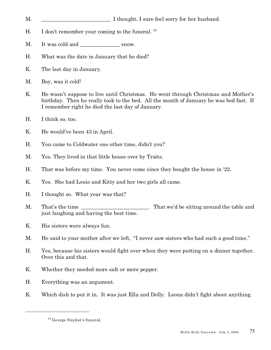- M.  $\blacksquare$  I thought, I sure feel sorry for her husband.
- H. I don't remember your coming to the funeral.  $^{19}$
- M. It was cold and snow.
- H. What was the date in January that he died?
- K. The last day in January.
- M. Boy, was it cold!
- K. He wasn't suppose to live until Christmas. He went through Christmas and Mother's birthday. Then he really took to the bed. All the month of January he was bed fast. If I remember right he died the last day of January.
- H. I think so, too.
- K. He would've been 43 in April.
- H. You came to Coldwater one other time, didn't you?
- M. Yes. They lived in that little house over by Traits.
- H. That was before my time. You never come since they bought the house in '22.
- K. Yes. She had Louie and Kitty and her two girls all came.
- H. I thought so. What year was that?
- M. That's the time \_\_\_\_\_\_\_\_\_\_\_\_\_\_\_\_\_\_\_\_. That we'd be sitting around the table and just laughing and having the best time.
- K. His sisters were always fun.
- M. He said to your mother after we left, "I never saw sisters who had such a good time."
- H. Yes, because his sisters would fight over when they were putting on a dinner together. Over this and that.
- K. Whether they needed more salt or more pepper.
- H. Everything was an argument.
- K. Which dish to put it in. It was just Ella and Dolly. Leona didn't fight about anything.

<sup>19</sup> George Snyder's funeral.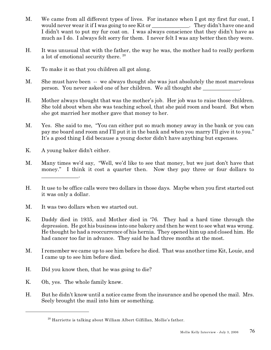- M. We came from all different types of lives. For instance when I got my first fur coat, I would never wear it if I was going to see Kit or \_\_\_\_\_\_\_\_\_\_\_\_\_\_. They didn't have one and I didn't want to put my fur coat on. I was always conscience that they didn't have as much as I do. I always felt sorry for them. I never felt I was any better then they were.
- H. It was unusual that with the father, the way he was, the mother had to really perform a lot of emotional security there.<sup>20</sup>
- K. To make it so that you children all got along.
- M. She must have been -- we always thought she was just absolutely the most marvelous person. You never asked one of her children. We all thought she
- H. Mother always thought that was the mother's job. Her job was to raise those children. She told about when she was teaching school, that she paid room and board. But when she got married her mother gave that money to her.
- M. Yes. She said to me, "You can either put so much money away in the bank or you can pay me board and room and I'll put it in the bank and when you marry I'll give it to you." It's a good thing I did because a young doctor didn't have anything but expenses.
- K. A young baker didn't either.
- M. Many times we'd say, "Well, we'd like to see that money, but we just don't have that money." I think it cost a quarter then. Now they pay three or four dollars to \_\_\_\_\_\_\_\_\_\_\_\_\_\_.
- H. It use to be office calls were two dollars in those days. Maybe when you first started out it was only a dollar.
- M. It was two dollars when we started out.
- K. Daddy died in 1935, and Mother died in '76. They had a hard time through the depression. He got his business into one bakery and then he went to see what was wrong. He thought he had a reoccurrence of his hernia. They opened him up and closed him. He had cancer too far in advance. They said he had three months at the most.
- M. I remember we came up to see him before he died. That was another time Kit, Louie, and I came up to see him before died.
- H. Did you know then, that he was going to die?
- K. Oh, yes. The whole family knew.
- H. But he didn't know until a notice came from the insurance and he opened the mail. Mrs. Seely brought the mail into him or something.

 $^{20}$  Harriette is talking about William Albert Gilfillan, Mollie's father.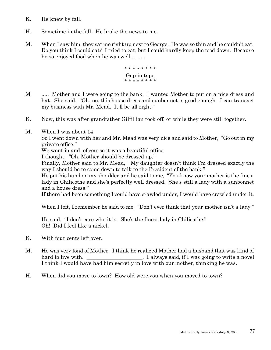- K. He knew by fall.
- H. Sometime in the fall. He broke the news to me.
- M. When I saw him, they sat me right up next to George. He was so thin and he couldn't eat. Do you think I could eat? I tried to eat, but I could hardly keep the food down. Because he so enjoyed food when he was well . . . . .



- M ..... Mother and I were going to the bank. I wanted Mother to put on a nice dress and hat. She said, "Oh, no, this house dress and sunbonnet is good enough. I can transact my business with Mr. Mead. It'll be all right."
- K. Now, this was after grandfather Gilfillian took off, or while they were still together.
- M. When I was about 14.

So I went down with her and Mr. Mead was very nice and said to Mother, "Go out in my private office."

We went in and, of course it was a beautiful office.

I thought, "Oh, Mother should be dressed up."

Finally, Mother said to Mr. Mead, "My daughter doesn't think I'm dressed exactly the way I should be to come down to talk to the President of the bank."

He put his hand on my shoulder and he said to me, "You know your mother is the finest lady in Chilicothe and she's perfectly well dressed. She's still a lady with a sunbonnet and a house dress."

If there had been something I could have crawled under, I would have crawled under it.

When I left, I remember he said to me, "Don't ever think that your mother isn't a lady."

He said, "I don't care who it is. She's the finest lady in Chilicothe." Oh! Did I feel like a nickel.

- K. With four cents left over.
- M. He was very fond of Mother. I think he realized Mother had a husband that was kind of hard to live with.  $I$  always said, if I was going to write a novel I think I would have had him secretly in love with our mother, thinking he was.
- H. When did you move to town? How old were you when you moved to town?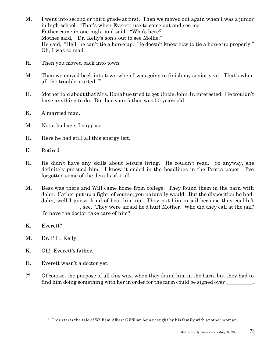- M. I went into second or third grade at first. Then we moved out again when I was a junior in high school. That's when Everett use to come out and see me. Father came in one night and said, "Who's here?" Mother said, "Dr. Kelly's son's out to see Mollie." He said, "Hell, he can't tie a horse up. He doesn't know how to tie a horse up properly." Oh, I was so mad.
- H. Then you moved back into town.
- M. Then we moved back into town when I was going to finish my senior year. That's when all the trouble started.  $21$
- H. Mother told about that Mrs. Donahue tried to get Uncle John Jr. interested. He wouldn't have anything to do. But her your father was 50 years old.
- K. A married man.
- M. Not a bad age, I suppose.
- H. Here he had still all this energy left.
- K. Retired.
- H. He didn't have any skills about leisure living. He couldn't read. So anyway, she definitely pursued him. I know it ended in the headlines in the Peoria paper. I've forgotten some of the details of it all.
- M. Bess was there and Will came home from college. They found them in the barn with John. Father put up a fight, of course, you naturally would. But the disposition he had. John, well I guess, kind of beat him up. They put him in jail because they couldn't \_\_\_\_\_\_\_\_\_\_\_\_\_\_ , see. They were afraid he'd hurt Mother. Who did they call at the jail? To have the doctor take care of him?
- K. Everett?
- M. Dr. P.H. Kelly.
- K. Oh! Everett's father.
- H. Everett wasn't a doctor yet.
- ?? Of course, the purpose of all this was, when they found him in the barn, but they had to find him doing something with her in order for the farm could be signed over

 $^{21}$  This starts the tale of William Albert Gilfillan being caught by his family with another woman.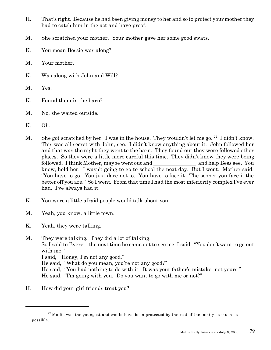- H. That's right. Because he had been giving money to her and so to protect your mother they had to catch him in the act and have proof.
- M. She scratched your mother. Your mother gave her some good swats.
- K. You mean Bessie was along?
- M. Your mother.
- K. Was along with John and Will?
- M. Yes.
- K. Found them in the barn?
- M. No, she waited outside.
- K. Oh.
- M. She got scratched by her. I was in the house. They wouldn't let me go.  $^{22}$  I didn't know. This was all secret with John, see. I didn't know anything about it. John followed her and that was the night they went to the barn. They found out they were followed other places. So they were a little more careful this time. They didn't know they were being followed. I think Mother, maybe went out and \_\_\_\_\_\_\_\_\_\_\_\_\_\_\_\_ and help Bess see. You know, hold her. I wasn't going to go to school the next day. But I went. Mother said, "You have to go. You just dare not to. You have to face it. The sooner you face it the better off you are." So I went. From that time I had the most inferiority complex I've ever had. I've always had it.
- K. You were a little afraid people would talk about you.
- M. Yeah, you know, a little town.
- K. Yeah, they were talking.

M. They were talking. They did a lot of talking. So I said to Everett the next time he came out to see me, I said, "You don't want to go out with me." I said, "Honey, I'm not any good." He said, "What do you mean, you're not any good?" He said, "You had nothing to do with it. It was your father's mistake, not yours." He said, "I'm going with you. Do you want to go with me or not?"

H. How did your girl friends treat you?

 $22$  Mollie was the youngest and would have been protected by the rest of the family as much as possible.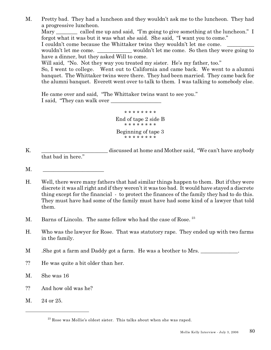M. Pretty bad. They had a luncheon and they wouldn't ask me to the luncheon. They had a progressive luncheon. Mary called me up and said, "I'm going to give something at the luncheon." I forgot what it was but it was what she said. She said, "I want you to come." I couldn't come because the Whittaker twins they wouldn't let me come. wouldn't let me come. \_\_\_\_\_\_\_\_\_\_\_\_ wouldn't let me come. So then they were going to have a dinner, but they asked Will to come. Will said, "No. Not they way you treated my sister. He's my father, too." So, I went to college. Went out to California and came back. We went to a alumni banquet. The Whittaker twins were there. They had been married. They came back for the alumni banquet. Everett went over to talk to them. I was talking to somebody else.

He came over and said, "The Whittaker twins want to see you." I said, "They can walk over

> \* \* \* \* \* \* \* \* End of tape 2 side B \* \* \* \* \* \* \* \* Beginning of tape 3 \* \* \* \* \* \* \* \*

K. \_\_\_\_\_\_\_\_\_\_\_\_\_\_\_\_\_\_\_\_\_\_\_\_\_ discussed at home and Mother said, "We can't have anybody that bad in here."

- M. \_\_\_\_\_\_\_\_\_\_\_\_\_\_\_\_\_\_\_\_\_\_\_
- H. Well, there were many fathers that had similar things happen to them. But if they were discrete it was all right and if they weren't it was too bad. It would have stayed a discrete thing except for the financial - to protect the finances of the family they had to do this. They must have had some of the family must have had some kind of a lawyer that told them.
- M. Barns of Lincoln. The same fellow who had the case of Rose.<sup>23</sup>
- H. Who was the lawyer for Rose. That was statutory rape. They ended up with two farms in the family.
- M . She got a farm and Daddy got a farm. He was a brother to Mrs.
- ?? He was quite a bit older than her.
- M. She was 16
- ?? And how old was he?
- M. 24 or 25.

 $^{23}$  Rose was Mollie's oldest sister. This talks about when she was raped.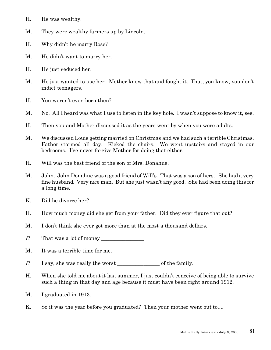- H. He was wealthy.
- M. They were wealthy farmers up by Lincoln.
- H. Why didn't he marry Rose?
- M. He didn't want to marry her.
- H. He just seduced her.
- M. He just wanted to use her. Mother knew that and fought it. That, you know, you don't indict teenagers.
- H. You weren't even born then?
- M. No. All I heard was what I use to listen in the key hole. I wasn't suppose to know it, see.
- H. Then you and Mother discussed it as the years went by when you were adults.
- M. We discussed Louie getting married on Christmas and we had such a terrible Christmas. Father stormed all day. Kicked the chairs. We went upstairs and stayed in our bedrooms. I've never forgive Mother for doing that either.
- H. Will was the best friend of the son of Mrs. Donahue.
- M. John. John Donahue was a good friend of Will's. That was a son of hers. She had a very fine husband. Very nice man. But she just wasn't any good. She had been doing this for a long time.
- K. Did he divorce her?
- H. How much money did she get from your father. Did they ever figure that out?
- M. I don't think she ever got more than at the most a thousand dollars.
- ?? That was a lot of money \_\_\_\_\_\_\_\_\_\_\_\_\_\_\_\_
- M. It was a terrible time for me.
- ?? I say, she was really the worst \_\_\_\_\_\_\_\_\_\_\_\_\_\_\_\_ of the family.
- H. When she told me about it last summer, I just couldn't conceive of being able to survive such a thing in that day and age because it must have been right around 1912.
- M. I graduated in 1913.
- K. So it was the year before you graduated? Then your mother went out to....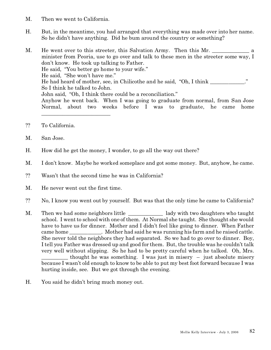- M. Then we went to California.
- H. But, in the meantime, you had arranged that everything was made over into her name. So he didn't have anything. Did he bum around the country or something?

M. He went over to this streeter, this Salvation Army. Then this Mr. minister from Peoria, use to go over and talk to these men in the streeter some way, I don't know. He took up talking to Father. He said, "You better go home to your wife." He said, "She won't have me." He had heard of mother, see, in Chilicothe and he said, "Oh, I think \_\_\_\_\_\_\_\_\_\_\_." So I think he talked to John. John said, "Oh, I think there could be a reconciliation." Anyhow he went back. When I was going to graduate from normal, from San Jose Normal, about two weeks before I was to graduate, he came home \_\_\_\_\_\_\_\_\_\_\_\_\_\_\_\_\_\_\_\_\_\_\_\_\_\_

- ?? To California.
- M. San Jose.
- H. How did he get the money, I wonder, to go all the way out there?
- M. I don't know. Maybe he worked someplace and got some money. But, anyhow, he came.
- ?? Wasn't that the second time he was in California?
- M. He never went out the first time.
- ?? No, I know you went out by yourself. But was that the only time he came to California?
- M. Then we had some neighbors little lady with two daughters who taught school. I went to school with one of them. At Normal she taught. She thought she would have to have us for dinner. Mother and I didn't feel like going to dinner. When Father came home  $\blacksquare$ . Mother had said he was running his farm and he raised cattle. She never told the neighbors they had separated. So we had to go over to dinner. Boy, I tell you Father was dressed up and good for them. But, the trouble was he couldn't talk very well without slipping. So he had to be pretty careful when he talked. Oh, Mrs. thought he was something. I was just in misery – just absolute misery because I wasn't old enough to know to be able to put my best foot forward because I was hurting inside, see. But we got through the evening.
- H. You said he didn't bring much money out.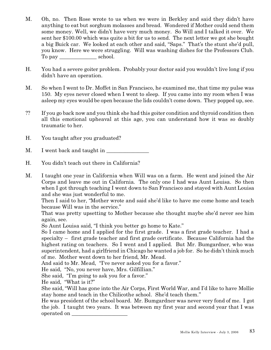- M. Oh, no. Then Rose wrote to us when we were in Berkley and said they didn't have anything to eat but sorghum molasses and bread. Wondered if Mother could send them some money. Well, we didn't have very much money. So Will and I talked it over. We sent her \$100.00 which was quite a bit for us to send. The next letter we got she bought a big Buick car. We looked at each other and said, "Saps." That's the stunt she'd pull, you know. Here we were struggling. Will was washing dishes for the Professors Club. To pay school.
- H. You had a severe goiter problem. Probably your doctor said you wouldn't live long if you didn't have an operation.
- M. So when I went to Dr. Moffet in San Francisco, he examined me, that time my pulse was 150. My eyes never closed when I went to sleep. If you came into my room when I was asleep my eyes would be open because the lids couldn't come down. They popped up, see.
- ?? If you go back now and you think she had this goiter condition and thyroid condition then all this emotional upheaval at this age, you can understand how it was so doubly traumatic to her.
- H. You taught after you graduated?
- M. I went back and taught in
- H. You didn't teach out there in California?
- M. I taught one year in California when Will was on a farm. He went and joined the Air Corps and leave me out in California. The only one I had was Aunt Louisa. So then when I got through teaching I went down to San Francisco and stayed with Aunt Louisa and she was just wonderful to me.

Then I said to her, "Mother wrote and said she'd like to have me come home and teach because Will was in the service."

That was pretty upsetting to Mother because she thought maybe she'd never see him again, see.

So Aunt Louisa said, "I think you better go home to Kate."

So I came home and I applied for the first grade. I was a first grade teacher. I had a specialty – first grade teacher and first grade certificate. Because California had the highest rating on teachers. So I went and I applied. But Mr. Bumgardner, who was superintendent, had a girlfriend in Chicago he wanted a job for. So he didn't think much of me. Mother went down to her friend, Mr. Mead.

And said to Mr. Mead, "I've never asked you for a favor."

He said, "No, you never have, Mrs. Gilfillian."

She said, "I'm going to ask you for a favor."

He said, "What is it?"

She said, "Will has gone into the Air Corps, First World War, and I'd like to have Mollie stay home and teach in the Chilicothe school. She'd teach them."

He was president of the school board. Mr. Bumgardner was never very fond of me. I got the job. I taught two years. It was between my first year and second year that I was operated on \_\_\_\_\_\_\_\_\_\_\_\_\_\_\_\_\_\_\_\_\_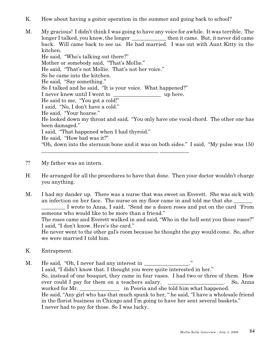- K. How about having a goiter operation in the summer and going back to school?
- M. My gracious! I didn't think I was going to have any voice for awhile. It was terrible. The longer I talked, you know, the longer then it came. But, it never did came back. Will came back to see us. He had married. I was out with Aunt Kitty in the kitchen. He said, "Who's talking out there?" Mother or somebody said, "That's Mollie." He said, "That's not Mollie. That's not her voice." So he came into the kitchen. He said, "Say something." So I talked and he said, "It is your voice. What happened?" I never knew until I went to \_\_\_\_\_\_\_\_\_\_\_\_\_\_\_\_\_\_ up here. He said to me, "You got a cold!" I said, "No, I don't have a cold." He said, "Your hoarse." He looked down my throat and said, "You only have one vocal chord. The other one has been damaged." I said, "That happened when I had thyroid." He said, "How bad was it?" "Oh, down into the sternum bone and it was on both sides." I said, "My pulse was 150 \_\_\_\_\_\_\_\_\_\_\_\_\_\_\_\_\_\_\_\_\_\_\_\_\_\_\_\_\_\_\_\_\_\_\_\_\_\_\_\_\_\_\_\_ \_\_\_\_\_\_\_\_\_\_\_
- ?? My father was an intern.
- H. He arranged for all the procedures to have that done. Then your doctor wouldn't charge you anything.
- M. I had my dander up. There was a nurse that was sweet on Everett. She was sick with an infection on her face. The nurse on my floor came in and told me that she \_\_\_\_\_\_\_\_\_ I wrote to Anna, I said, "Send me a dozen roses and put on the card 'From someone who would like to be more than a friend." The roses came and Everett walked in and said, "Who in the hell sent you those roses?" I said, "I don't know. Here's the card."

He never went to the other gal's room because he thought the guy would come. So, after we were married I told him.

- K. Entrapment.
- M. He said, "Oh, I never had any interest in \_\_\_\_\_\_\_\_\_\_\_\_\_\_\_." I said, "I didn't know that. I thought you were quite interested in her." So, instead of one bouquet, they came in four vases. I had two or three of them. How ever could I pay for them on a teachers salary. \_\_\_\_\_\_\_\_\_\_\_\_\_\_\_\_\_\_\_\_. So, Anna worked for Mr. \_\_\_\_\_\_\_\_\_\_\_\_\_\_\_\_\_\_\_\_\_\_\_\_\_ in Peoria and she told him what happened. He said, "Any girl who has that much spunk to her, " he said, "I have a wholesale friend in the florist business in Chicago and I'm going to have her sent several baskets." I never had to pay for those. So I was lucky.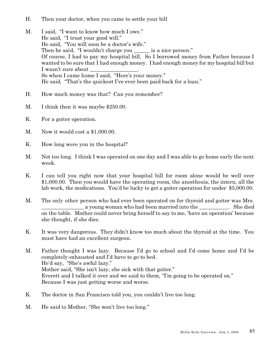- H. Then your doctor, when you came to settle your bill
- M. I said, "I want to know how much I owe." He said, "I trust your good will." He said, "You will soon be a doctor's wife." Then he said, "I wouldn't charge you \_\_\_\_\_\_\_ is a nice person." Of course, I had to pay my hospital bill. So I borrowed money from Father because I wanted to be sure that I had enough money. I had enough money for my hospital bill but I wasn't sure about So when I came home I said, "Here's your money." He said, "That's the quickest I've ever been paid back for a loan."
- H. How much money was that? Can you remember?
- M. I think then it was maybe \$250.00.
- K. For a goiter operation.
- M. Now it would cost a \$1,000.00.
- K. How long were you in the hospital?
- M. Not too long. I think I was operated on one day and I was able to go home early the next week.
- K. I can tell you right now that your hospital bill for room alone would be well over \$1,000.00. Then you would have the operating room, the anesthesia, the intern, all the lab work, the medications. You'd be lucky to get a goiter operation for under \$5,000.00.
- M. The only other person who had ever been operated on for thyroid and goiter was Mrs. a young woman who had been married into the \_\_\_\_\_\_\_\_\_\_. She died on the table. Mother could never bring herself to say to me, 'have an operation' because she thought, if she dies.
- K. It was very dangerous. They didn't know too much about the thyroid at the time. You must have had an excellent surgeon.
- M. Father thought I was lazy. Because I'd go to school and I'd come home and I'd be completely exhausted and I'd have to go to bed. He'd say, "She's awful lazy." Mother said, "She isn't lazy, she sick with that goiter." Everett and I talked it over and we said to them, "I'm going to be operated on." Because I was just getting worse and worse.
- K. The doctor in San Francisco told you, you couldn't live too long.
- M. He said to Mother, "She won't live too long."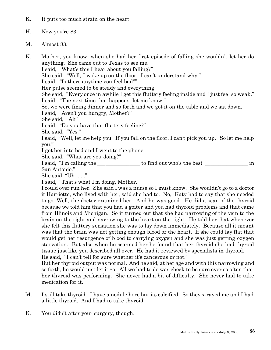- K. It puts too much strain on the heart.
- H. Now you're 83.
- M. Almost 83.

K. Mother, you know, when she had her first episode of falling she wouldn't let her do anything. She came out to Texas to see me.

I said, "What's this I hear about you falling?"

She said, "Well, I woke up on the floor. I can't understand why."

I said, "Is there anytime you feel bad?"

Her pulse seemed to be steady and everything.

She said, "Every once in awhile I get this fluttery feeling inside and I just feel so weak." I said, "The next time that happens, let me know."

So, we were fixing dinner and so forth and we got it on the table and we sat down.

I said, "Aren't you hungry, Mother?"

She said, "Ah"

I said, "Do you have that fluttery feeling?"

She said, "Yes."

I said, "Well, let me help you. If you fall on the floor, I can't pick you up. So let me help you."

I got her into bed and I went to the phone.

She said, "What are you doing?"

I said, "I'm calling the \_\_\_\_\_\_\_\_\_\_\_\_\_\_\_\_\_ to find out who's the best \_\_\_\_\_\_\_\_\_\_\_\_\_\_\_\_ in San Antonio."

She said "Uh ......"

I said, "That's what I'm doing, Mother."

I could over run her. She said I was a nurse so I must know. She wouldn't go to a doctor if Harriette, who lived with her, said she had to. No, Katy had to say that she needed to go. Well, the doctor examined her. And he was good. He did a scan of the thyroid because we told him that you had a goiter and you had thyroid problems and that came from Illinois and Michigan. So it turned out that she had narrowing of the vein to the brain on the right and narrowing to the heart on the right. He told her that whenever she felt this fluttery sensation she was to lay down immediately. Because all it meant was that the brain was not getting enough blood or the heart. If she could lay flat that would get her resurgence of blood to carrying oxygen and she was just getting oxygen starvation. But also when he scanned her he found that her thyroid she had thyroid tissue just like you described all over. He had it reviewed by specialists in thyroid.

He said, "I can't tell for sure whether it's cancerous or not."

But her thyroid output was normal. And he said, at her age and with this narrowing and so forth, he would just let it go. All we had to do was check to be sure ever so often that her thyroid was performing. She never had a bit of difficulty. She never had to take medication for it.

- M. I still take thyroid. I have a nodule here but its calcified. So they x-rayed me and I had a little thyroid. And I had to take thyroid.
- K. You didn't after your surgery, though.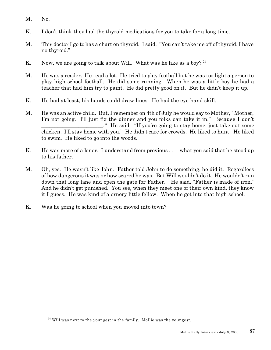- M. No.
- K. I don't think they had the thyroid medications for you to take for a long time.
- M. This doctor I go to has a chart on thyroid. I said, "You can't take me off of thyroid. I have no thyroid."
- K. Now, we are going to talk about Will. What was he like as a boy?  $24$
- M. He was a reader. He read a lot. He tried to play football but he was too light a person to play high school football. He did some running. When he was a little boy he had a teacher that had him try to paint. He did pretty good on it. But he didn't keep it up.
- K. He had at least, his hands could draw lines. He had the eye-hand skill.
- M. He was an active child. But, I remember on 4th of July he would say to Mother, "Mother, I'm not going. I'll just fix the dinner and you folks can take it in." Because I don't \_\_\_\_\_\_\_\_\_\_\_\_\_\_\_\_\_\_\_\_\_\_\_." He said, "If you're going to stay home, just take out some chicken. I'll stay home with you." He didn't care for crowds. He liked to hunt. He liked to swim. He liked to go into the woods.
- K. He was more of a loner. I understand from previous . . . what you said that he stood up to his father.
- M. Oh, yes. He wasn't like John. Father told John to do something, he did it. Regardless of how dangerous it was or how scared he was. But Will wouldn't do it. He wouldn't run down that long lane and open the gate for Father. He said, "Father is made of iron." And he didn't get punished. You see, when they meet one of their own kind, they know it I guess. He was kind of a ornery little fellow. When he got into that high school.
- K. Was he going to school when you moved into town?

 $24$  Will was next to the youngest in the family. Mollie was the youngest.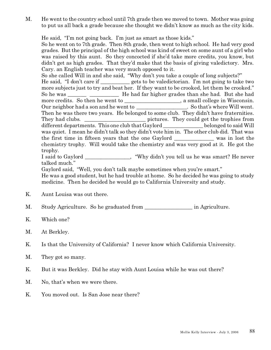M. He went to the country school until 7th grade then we moved to town. Mother was going to put us all back a grade because she thought we didn't know as much as the city kids.

He said, "I'm not going back. I'm just as smart as those kids."

So he went on to 7th grade. Then 8th grade, then went to high school. He had very good grades. But the principal of the high school was kind of sweet on some aunt of a girl who was raised by this aunt. So they concocted if she'd take more credits, you know, but didn't get as high grades. That they'd make that the basis of giving valedictory. Mrs. Cary. an English teacher was very much opposed to it.

So she called Will in and she said, "Why don't you take a couple of long subjects?" He said, "I don't care if \_\_\_\_\_\_\_\_\_\_\_ gets to be valedictorian. I'm not going to take two more subjects just to try and beat her. If they want to be crooked, let them be crooked." So he was \_\_\_\_\_\_\_ \_\_\_\_\_\_\_\_\_\_\_ He had far higher grades than she had. But she had more credits. So then he went to \_\_\_\_\_\_\_\_\_\_\_\_\_\_\_\_\_, a small college in Wisconsin. Our neighbor had a son and he went to \_\_\_\_\_\_\_\_\_\_\_\_\_\_\_\_\_\_\_. So that's where Will went. Then he was there two years. He belonged to some club. They didn't have fraternities. They had clubs. \_\_\_\_\_\_\_\_\_\_\_\_\_\_\_\_\_\_\_\_\_\_\_ pictures. They could get the trophies from different departments. This one club that Gaylord belonged to said Will was quiet. I mean he didn't talk so they didn't vote him in. The other club did. That was the first time in fifteen years that the one Gaylord \_\_\_\_\_\_\_\_\_\_\_\_\_\_\_ was in lost the chemistry trophy. Will would take the chemistry and was very good at it. He got the trophy.

I said to Gaylord \_\_\_\_\_\_\_\_\_\_\_\_\_\_\_\_\_, "Why didn't you tell us he was smart? He never talked much."

Gaylord said, "Well, you don't talk maybe sometimes when you're smart."

He was a good student, but he had trouble at home. So he decided he was going to study medicine. Then he decided he would go to California University and study.

K. Aunt Louisa was out there.

M. Study Agriculture. So he graduated from \_\_\_\_\_\_\_\_\_\_\_\_\_\_\_\_\_\_\_\_ in Agriculture.

- K. Which one?
- M. At Berkley.

K. Is that the University of California? I never know which California University.

- M. They got so many.
- K. But it was Berkley. Did he stay with Aunt Louisa while he was out there?
- M. No, that's when we were there.
- K. You moved out. Is San Jose near there?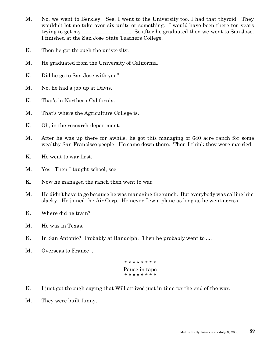- M. No, we went to Berkley. See, I went to the University too. I had that thyroid. They wouldn't let me take over six units or something. I would have been there ten years trying to get my So after he graduated then we went to San Jose. I finished at the San Jose State Teachers College.
- K. Then he got through the university.
- M. He graduated from the University of California.
- K. Did he go to San Jose with you?
- M. No, he had a job up at Davis.
- K. That's in Northern California.
- M. That's where the Agriculture College is.
- K. Oh, in the research department.
- M. After he was up there for awhile, he got this managing of 640 acre ranch for some wealthy San Francisco people. He came down there. Then I think they were married.
- K. He went to war first.
- M. Yes. Then I taught school, see.
- K. Now he managed the ranch then went to war.
- M. He didn't have to go because he was managing the ranch. But everybody was calling him slacky. He joined the Air Corp. He never flew a plane as long as he went across.
- K. Where did he train?
- M. He was in Texas.
- K. In San Antonio? Probably at Randolph. Then he probably went to ....
- M. Overseas to France ...

```
* * * * * * * *
Pause in tape
* * * * * * * *
```
- K. I just got through saying that Will arrived just in time for the end of the war.
- M. They were built funny.